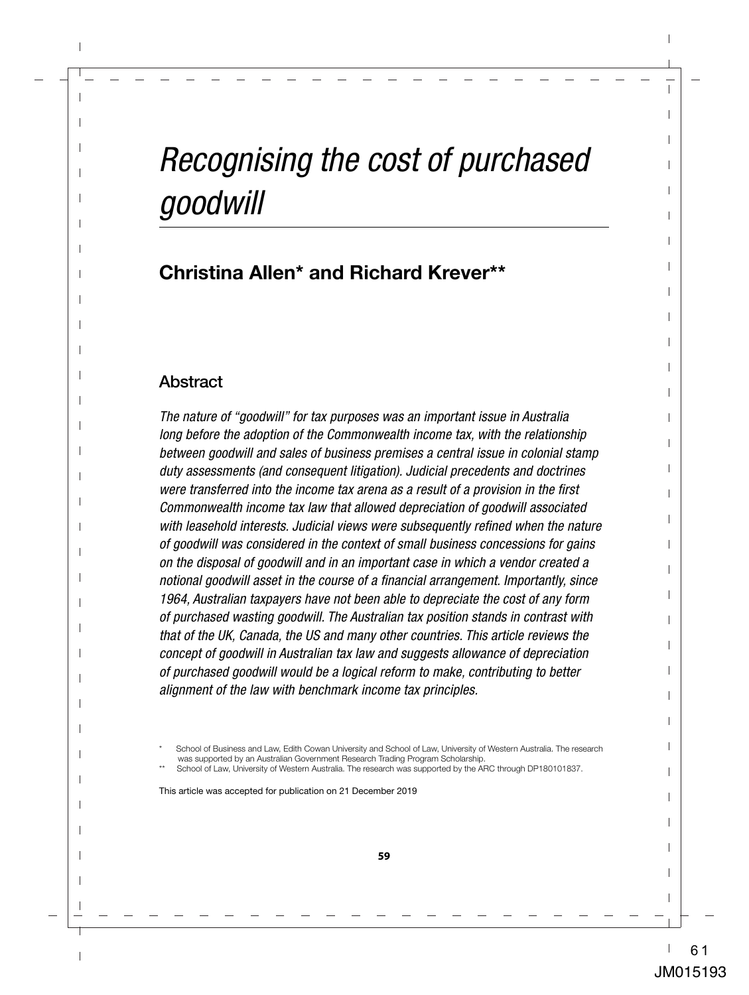# *Recognising the cost of purchased goodwill*

# **Christina Allen\* and Richard Krever\*\***

## **Abstract**

*The nature of "goodwill" for tax purposes was an important issue in Australia long before the adoption of the Commonwealth income tax, with the relationship between goodwill and sales of business premises a central issue in colonial stamp duty assessments (and consequent litigation). Judicial precedents and doctrines were transferred into the income tax arena as a result of a provision in the first Commonwealth income tax law that allowed depreciation of goodwill associated*  with leasehold interests. Judicial views were subsequently refined when the nature *of goodwill was considered in the context of small business concessions for gains on the disposal of goodwill and in an important case in which a vendor created a notional goodwill asset in the course of a financial arrangement. Importantly, since 1964, Australian taxpayers have not been able to depreciate the cost of any form of purchased wasting goodwill. The Australian tax position stands in contrast with that of the UK, Canada, the US and many other countries. This article reviews the concept of goodwill in Australian tax law and suggests allowance of depreciation of purchased goodwill would be a logical reform to make, contributing to better alignment of the law with benchmark income tax principles.*

This article was accepted for publication on 21 December 2019

School of Business and Law, Edith Cowan University and School of Law, University of Western Australia. The research was supported by an Australian Government Research Trading Program Scholarship.

School of Law, University of Western Australia. The research was supported by the ARC through DP180101837.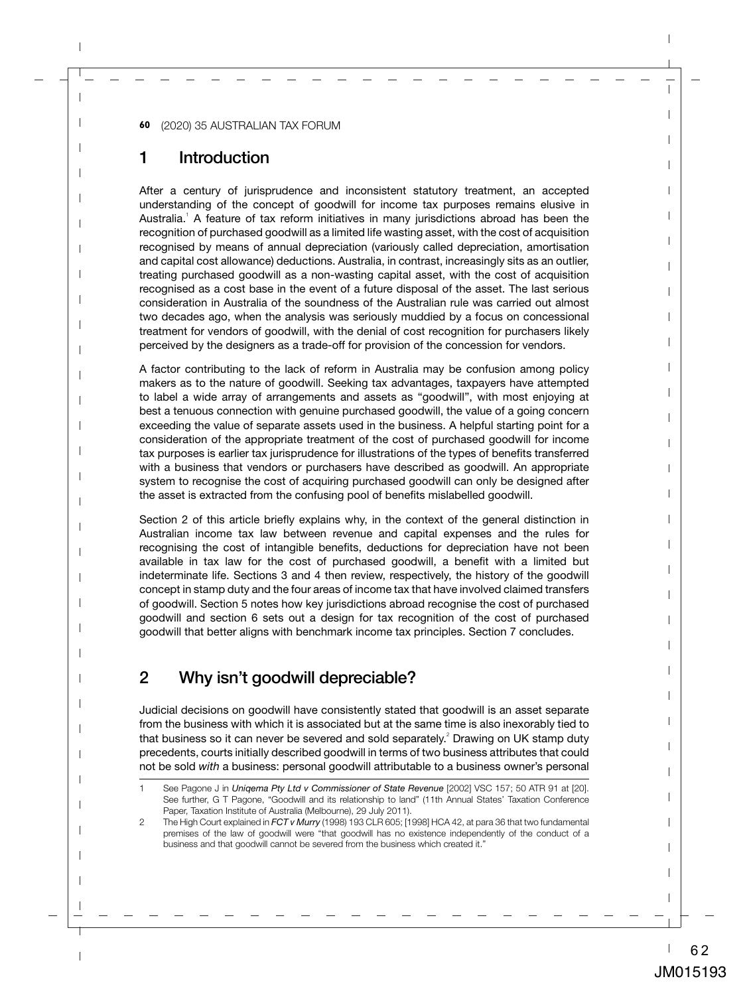# 1 Introduction

After a century of jurisprudence and inconsistent statutory treatment, an accepted understanding of the concept of goodwill for income tax purposes remains elusive in Australia.<sup>1</sup> A feature of tax reform initiatives in many jurisdictions abroad has been the recognition of purchased goodwill as a limited life wasting asset, with the cost of acquisition recognised by means of annual depreciation (variously called depreciation, amortisation and capital cost allowance) deductions. Australia, in contrast, increasingly sits as an outlier, treating purchased goodwill as a non-wasting capital asset, with the cost of acquisition recognised as a cost base in the event of a future disposal of the asset. The last serious consideration in Australia of the soundness of the Australian rule was carried out almost two decades ago, when the analysis was seriously muddied by a focus on concessional treatment for vendors of goodwill, with the denial of cost recognition for purchasers likely perceived by the designers as a trade-off for provision of the concession for vendors.

A factor contributing to the lack of reform in Australia may be confusion among policy makers as to the nature of goodwill. Seeking tax advantages, taxpayers have attempted to label a wide array of arrangements and assets as "goodwill", with most enjoying at best a tenuous connection with genuine purchased goodwill, the value of a going concern exceeding the value of separate assets used in the business. A helpful starting point for a consideration of the appropriate treatment of the cost of purchased goodwill for income tax purposes is earlier tax jurisprudence for illustrations of the types of benefits transferred with a business that vendors or purchasers have described as goodwill. An appropriate system to recognise the cost of acquiring purchased goodwill can only be designed after the asset is extracted from the confusing pool of benefits mislabelled goodwill.

Section 2 of this article briefly explains why, in the context of the general distinction in Australian income tax law between revenue and capital expenses and the rules for recognising the cost of intangible benefits, deductions for depreciation have not been available in tax law for the cost of purchased goodwill, a benefit with a limited but indeterminate life. Sections 3 and 4 then review, respectively, the history of the goodwill concept in stamp duty and the four areas of income tax that have involved claimed transfers of goodwill. Section 5 notes how key jurisdictions abroad recognise the cost of purchased goodwill and section 6 sets out a design for tax recognition of the cost of purchased goodwill that better aligns with benchmark income tax principles. Section 7 concludes.

# 2 Why isn't goodwill depreciable?

Judicial decisions on goodwill have consistently stated that goodwill is an asset separate from the business with which it is associated but at the same time is also inexorably tied to that business so it can never be severed and sold separately.<sup>2</sup> Drawing on UK stamp duty precedents, courts initially described goodwill in terms of two business attributes that could not be sold *with* a business: personal goodwill attributable to a business owner's personal

<sup>1</sup> See Pagone J in *Uniqema Pty Ltd v Commissioner of State Revenue* [2002] VSC 157; 50 ATR 91 at [20]. See further, G T Pagone, "Goodwill and its relationship to land" (11th Annual States' Taxation Conference Paper, Taxation Institute of Australia (Melbourne), 29 July 2011).

<sup>2</sup> The High Court explained in *FCT v Murry* (1998) 193 CLR 605; [1998] HCA 42, at para 36 that two fundamental premises of the law of goodwill were "that goodwill has no existence independently of the conduct of a business and that goodwill cannot be severed from the business which created it."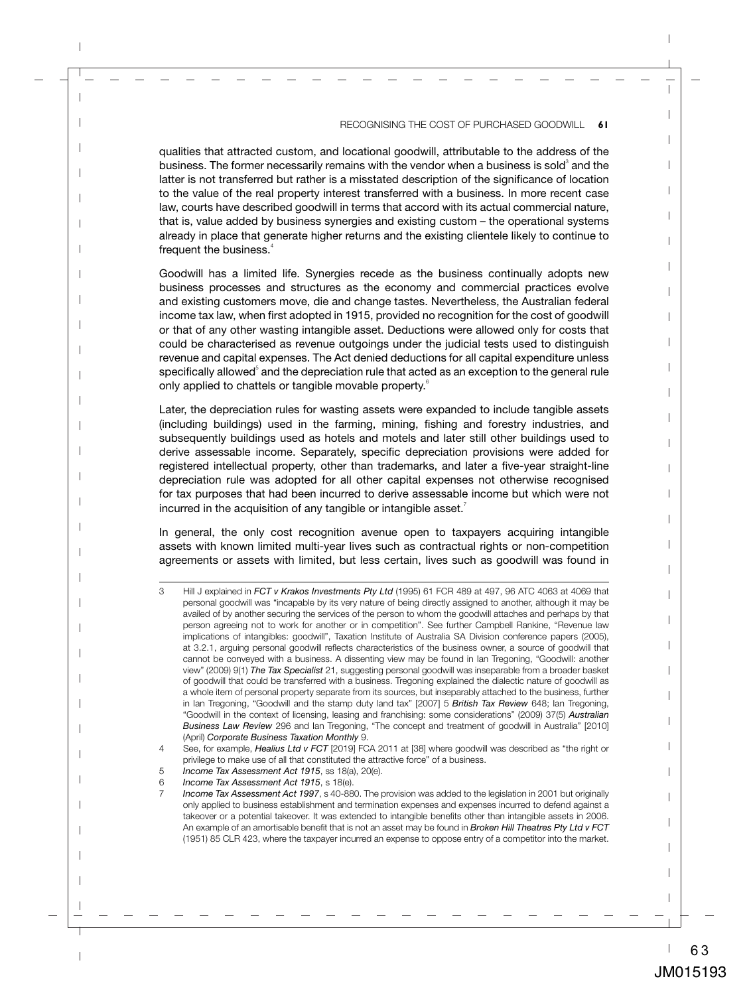qualities that attracted custom, and locational goodwill, attributable to the address of the business. The former necessarily remains with the vendor when a business is sold $^{\circ}$  and the latter is not transferred but rather is a misstated description of the significance of location to the value of the real property interest transferred with a business. In more recent case law, courts have described goodwill in terms that accord with its actual commercial nature, that is, value added by business synergies and existing custom – the operational systems already in place that generate higher returns and the existing clientele likely to continue to frequent the business.<sup>4</sup>

Goodwill has a limited life. Synergies recede as the business continually adopts new business processes and structures as the economy and commercial practices evolve and existing customers move, die and change tastes. Nevertheless, the Australian federal income tax law, when first adopted in 1915, provided no recognition for the cost of goodwill or that of any other wasting intangible asset. Deductions were allowed only for costs that could be characterised as revenue outgoings under the judicial tests used to distinguish revenue and capital expenses. The Act denied deductions for all capital expenditure unless  $s$ pecifically allowed $\mathrm{\degree}$  and the depreciation rule that acted as an exception to the general rule only applied to chattels or tangible movable property.<sup>6</sup>

Later, the depreciation rules for wasting assets were expanded to include tangible assets (including buildings) used in the farming, mining, fishing and forestry industries, and subsequently buildings used as hotels and motels and later still other buildings used to derive assessable income. Separately, specific depreciation provisions were added for registered intellectual property, other than trademarks, and later a five-year straight-line depreciation rule was adopted for all other capital expenses not otherwise recognised for tax purposes that had been incurred to derive assessable income but which were not incurred in the acquisition of any tangible or intangible asset.<sup>7</sup>

In general, the only cost recognition avenue open to taxpayers acquiring intangible assets with known limited multi-year lives such as contractual rights or non-competition agreements or assets with limited, but less certain, lives such as goodwill was found in

<sup>3</sup> Hill J explained in *FCT v Krakos Investments Pty Ltd* (1995) 61 FCR 489 at 497, 96 ATC 4063 at 4069 that personal goodwill was "incapable by its very nature of being directly assigned to another, although it may be availed of by another securing the services of the person to whom the goodwill attaches and perhaps by that person agreeing not to work for another or in competition". See further Campbell Rankine, "Revenue law implications of intangibles: goodwill", Taxation Institute of Australia SA Division conference papers (2005), at 3.2.1, arguing personal goodwill reflects characteristics of the business owner, a source of goodwill that cannot be conveyed with a business. A dissenting view may be found in Ian Tregoning, "Goodwill: another view" (2009) 9(1) *The Tax Specialist* 21, suggesting personal goodwill was inseparable from a broader basket of goodwill that could be transferred with a business. Tregoning explained the dialectic nature of goodwill as a whole item of personal property separate from its sources, but inseparably attached to the business, further in Ian Tregoning, "Goodwill and the stamp duty land tax" [2007] 5 *British Tax Review* 648; Ian Tregoning, "Goodwill in the context of licensing, leasing and franchising: some considerations" (2009) 37(5) *Australian Business Law Review* 296 and Ian Tregoning, "The concept and treatment of goodwill in Australia" [2010] (April) *Corporate Business Taxation Monthly* 9.

<sup>4</sup> See, for example, *Healius Ltd v FCT* [2019] FCA 2011 at [38] where goodwill was described as "the right or privilege to make use of all that constituted the attractive force" of a business.

<sup>5</sup> *Income Tax Assessment Act 1915*, ss 18(a), 20(e).

<sup>6</sup> *Income Tax Assessment Act 1915*, s 18(e).

<sup>7</sup> *Income Tax Assessment Act 1997*, s 40-880. The provision was added to the legislation in 2001 but originally only applied to business establishment and termination expenses and expenses incurred to defend against a takeover or a potential takeover. It was extended to intangible benefits other than intangible assets in 2006. An example of an amortisable benefit that is not an asset may be found in *Broken Hill Theatres Pty Ltd v FCT* (1951) 85 CLR 423, where the taxpayer incurred an expense to oppose entry of a competitor into the market.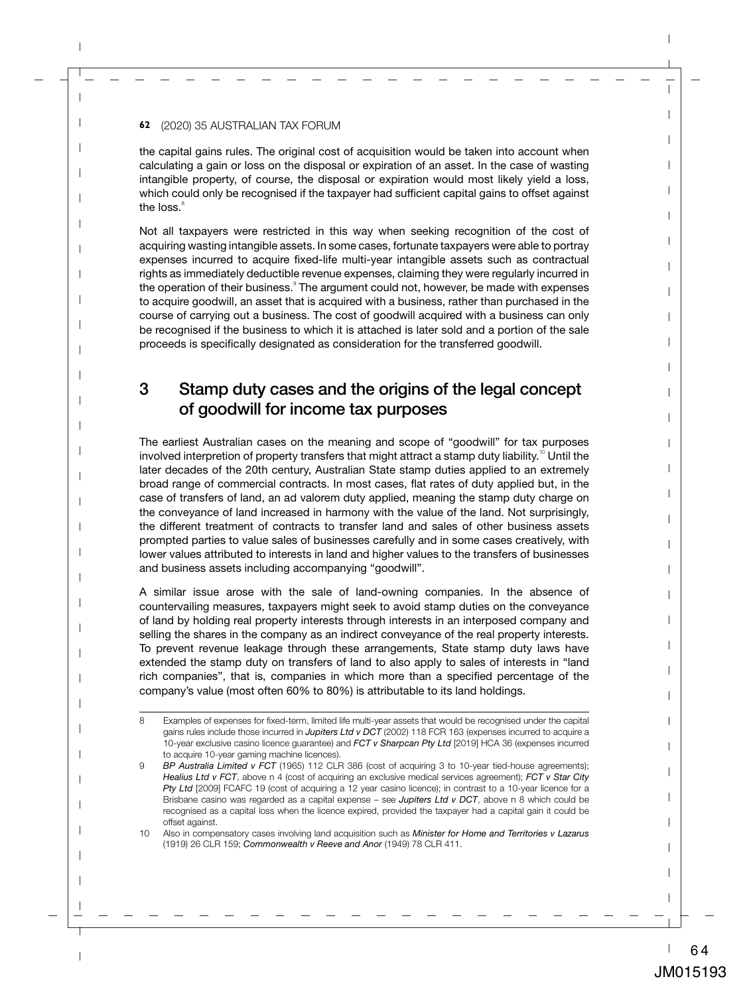the capital gains rules. The original cost of acquisition would be taken into account when calculating a gain or loss on the disposal or expiration of an asset. In the case of wasting intangible property, of course, the disposal or expiration would most likely yield a loss, which could only be recognised if the taxpayer had sufficient capital gains to offset against the loss.<sup>8</sup>

Not all taxpayers were restricted in this way when seeking recognition of the cost of acquiring wasting intangible assets. In some cases, fortunate taxpayers were able to portray expenses incurred to acquire fixed-life multi-year intangible assets such as contractual rights as immediately deductible revenue expenses, claiming they were regularly incurred in the operation of their business.<sup>9</sup> The argument could not, however, be made with expenses to acquire goodwill, an asset that is acquired with a business, rather than purchased in the course of carrying out a business. The cost of goodwill acquired with a business can only be recognised if the business to which it is attached is later sold and a portion of the sale proceeds is specifically designated as consideration for the transferred goodwill.

# 3 Stamp duty cases and the origins of the legal concept of goodwill for income tax purposes

The earliest Australian cases on the meaning and scope of "goodwill" for tax purposes involved interpretion of property transfers that might attract a stamp duty liability.<sup>10</sup> Until the later decades of the 20th century, Australian State stamp duties applied to an extremely broad range of commercial contracts. In most cases, flat rates of duty applied but, in the case of transfers of land, an ad valorem duty applied, meaning the stamp duty charge on the conveyance of land increased in harmony with the value of the land. Not surprisingly, the different treatment of contracts to transfer land and sales of other business assets prompted parties to value sales of businesses carefully and in some cases creatively, with lower values attributed to interests in land and higher values to the transfers of businesses and business assets including accompanying "goodwill".

A similar issue arose with the sale of land-owning companies. In the absence of countervailing measures, taxpayers might seek to avoid stamp duties on the conveyance of land by holding real property interests through interests in an interposed company and selling the shares in the company as an indirect conveyance of the real property interests. To prevent revenue leakage through these arrangements, State stamp duty laws have extended the stamp duty on transfers of land to also apply to sales of interests in "land rich companies", that is, companies in which more than a specified percentage of the company's value (most often 60% to 80%) is attributable to its land holdings.

<sup>8</sup> Examples of expenses for fixed-term, limited life multi-year assets that would be recognised under the capital gains rules include those incurred in *Jupiters Ltd v DCT* (2002) 118 FCR 163 (expenses incurred to acquire a 10-year exclusive casino licence guarantee) and *FCT v Sharpcan Pty Ltd* [2019] HCA 36 (expenses incurred to acquire 10-year gaming machine licences).

<sup>9</sup> *BP Australia Limited v FCT* (1965) 112 CLR 386 (cost of acquiring 3 to 10-year tied-house agreements); *Healius Ltd v FCT*, above n 4 (cost of acquiring an exclusive medical services agreement); *FCT v Star City Pty Ltd* [2009] FCAFC 19 (cost of acquiring a 12 year casino licence); in contrast to a 10-year licence for a Brisbane casino was regarded as a capital expense – see *Jupiters Ltd v DCT*, above n 8 which could be recognised as a capital loss when the licence expired, provided the taxpayer had a capital gain it could be offset against.

<sup>10</sup> Also in compensatory cases involving land acquisition such as *Minister for Home and Territories v Lazarus* (1919) 26 CLR 159; *Commonwealth v Reeve and Anor* (1949) 78 CLR 411.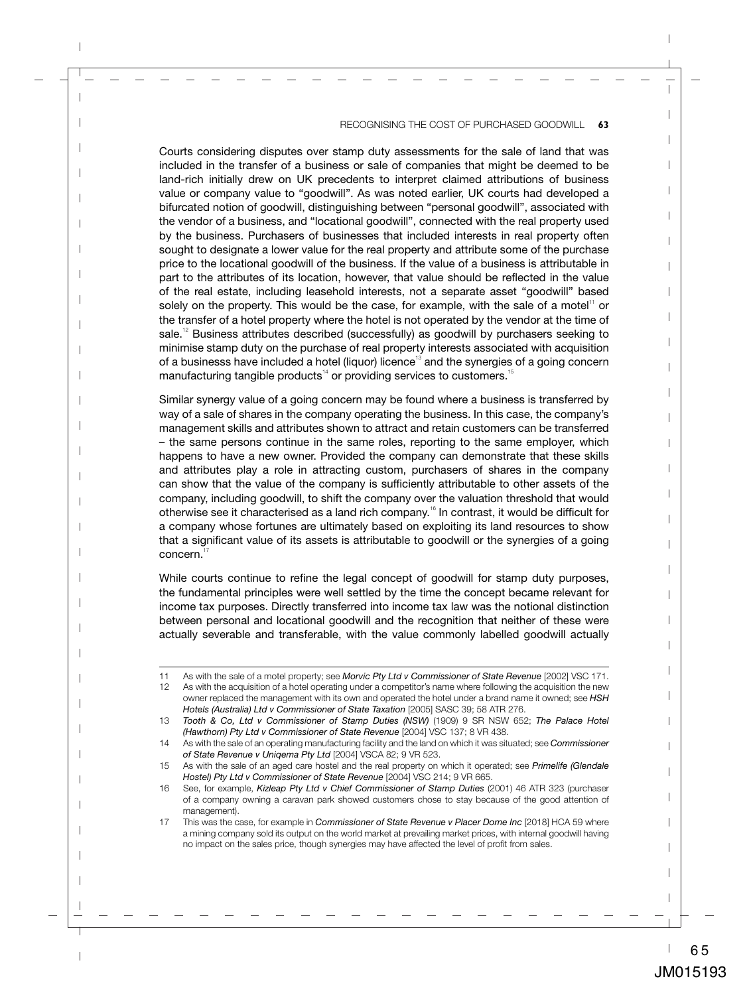Courts considering disputes over stamp duty assessments for the sale of land that was included in the transfer of a business or sale of companies that might be deemed to be land-rich initially drew on UK precedents to interpret claimed attributions of business value or company value to "goodwill". As was noted earlier, UK courts had developed a bifurcated notion of goodwill, distinguishing between "personal goodwill", associated with the vendor of a business, and "locational goodwill", connected with the real property used by the business. Purchasers of businesses that included interests in real property often sought to designate a lower value for the real property and attribute some of the purchase price to the locational goodwill of the business. If the value of a business is attributable in part to the attributes of its location, however, that value should be reflected in the value of the real estate, including leasehold interests, not a separate asset "goodwill" based solely on the property. This would be the case, for example, with the sale of a motel $11$  or the transfer of a hotel property where the hotel is not operated by the vendor at the time of sale.<sup>12</sup> Business attributes described (successfully) as goodwill by purchasers seeking to minimise stamp duty on the purchase of real property interests associated with acquisition of a businesss have included a hotel (liquor) licence<sup>13</sup> and the synergies of a going concern manufacturing tangible products<sup> $14$ </sup> or providing services to customers.<sup>15</sup>

Similar synergy value of a going concern may be found where a business is transferred by way of a sale of shares in the company operating the business. In this case, the company's management skills and attributes shown to attract and retain customers can be transferred – the same persons continue in the same roles, reporting to the same employer, which happens to have a new owner. Provided the company can demonstrate that these skills and attributes play a role in attracting custom, purchasers of shares in the company can show that the value of the company is sufficiently attributable to other assets of the company, including goodwill, to shift the company over the valuation threshold that would otherwise see it characterised as a land rich company.<sup>16</sup> In contrast, it would be difficult for a company whose fortunes are ultimately based on exploiting its land resources to show that a significant value of its assets is attributable to goodwill or the synergies of a going concern.<sup>17</sup>

While courts continue to refine the legal concept of goodwill for stamp duty purposes, the fundamental principles were well settled by the time the concept became relevant for income tax purposes. Directly transferred into income tax law was the notional distinction between personal and locational goodwill and the recognition that neither of these were actually severable and transferable, with the value commonly labelled goodwill actually

<sup>11</sup> As with the sale of a motel property; see *Morvic Pty Ltd v Commissioner of State Revenue* [2002] VSC 171.<br>12 As with the acquisition of a hotel operating under a competitor's name where following the acquisition the ne

As with the acquisition of a hotel operating under a competitor's name where following the acquisition the new owner replaced the management with its own and operated the hotel under a brand name it owned; see *HSH Hotels (Australia) Ltd v Commissioner of State Taxation* [2005] SASC 39; 58 ATR 276.

<sup>13</sup> *Tooth & Co, Ltd v Commissioner of Stamp Duties (NSW)* (1909) 9 SR NSW 652; *The Palace Hotel (Hawthorn) Pty Ltd v Commissioner of State Revenue* [2004] VSC 137; 8 VR 438.

<sup>14</sup> As with the sale of an operating manufacturing facility and the land on which it was situated; see *Commissioner of State Revenue v Uniqema Pty Ltd* [2004] VSCA 82; 9 VR 523.

<sup>15</sup> As with the sale of an aged care hostel and the real property on which it operated; see *Primelife (Glendale Hostel) Pty Ltd v Commissioner of State Revenue* [2004] VSC 214; 9 VR 665.

<sup>16</sup> See, for example, *Kizleap Pty Ltd v Chief Commissioner of Stamp Duties* (2001) 46 ATR 323 (purchaser of a company owning a caravan park showed customers chose to stay because of the good attention of management).

<sup>17</sup> This was the case, for example in *Commissioner of State Revenue v Placer Dome Inc* [2018] HCA 59 where a mining company sold its output on the world market at prevailing market prices, with internal goodwill having no impact on the sales price, though synergies may have affected the level of profit from sales.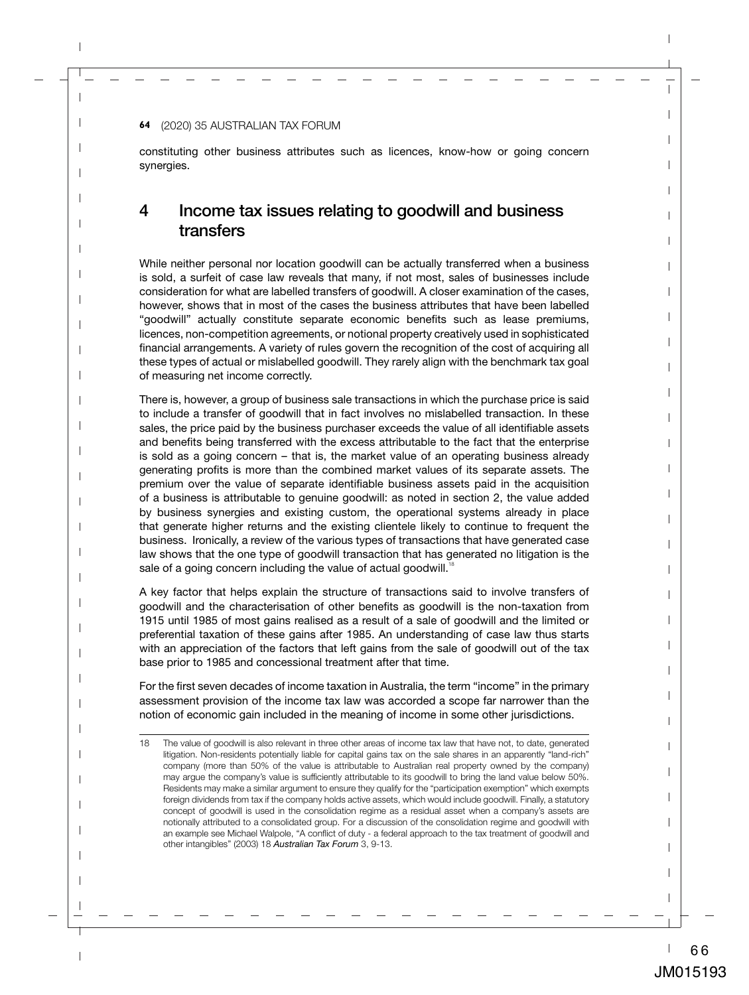constituting other business attributes such as licences, know-how or going concern synergies.

## 4 Income tax issues relating to goodwill and business transfers

While neither personal nor location goodwill can be actually transferred when a business is sold, a surfeit of case law reveals that many, if not most, sales of businesses include consideration for what are labelled transfers of goodwill. A closer examination of the cases, however, shows that in most of the cases the business attributes that have been labelled "goodwill" actually constitute separate economic benefits such as lease premiums, licences, non-competition agreements, or notional property creatively used in sophisticated financial arrangements. A variety of rules govern the recognition of the cost of acquiring all these types of actual or mislabelled goodwill. They rarely align with the benchmark tax goal of measuring net income correctly.

There is, however, a group of business sale transactions in which the purchase price is said to include a transfer of goodwill that in fact involves no mislabelled transaction. In these sales, the price paid by the business purchaser exceeds the value of all identifiable assets and benefits being transferred with the excess attributable to the fact that the enterprise is sold as a going concern – that is, the market value of an operating business already generating profits is more than the combined market values of its separate assets. The premium over the value of separate identifiable business assets paid in the acquisition of a business is attributable to genuine goodwill: as noted in section 2, the value added by business synergies and existing custom, the operational systems already in place that generate higher returns and the existing clientele likely to continue to frequent the business. Ironically, a review of the various types of transactions that have generated case law shows that the one type of goodwill transaction that has generated no litigation is the sale of a going concern including the value of actual goodwill.<sup>1</sup>

A key factor that helps explain the structure of transactions said to involve transfers of goodwill and the characterisation of other benefits as goodwill is the non-taxation from 1915 until 1985 of most gains realised as a result of a sale of goodwill and the limited or preferential taxation of these gains after 1985. An understanding of case law thus starts with an appreciation of the factors that left gains from the sale of goodwill out of the tax base prior to 1985 and concessional treatment after that time.

For the first seven decades of income taxation in Australia, the term "income" in the primary assessment provision of the income tax law was accorded a scope far narrower than the notion of economic gain included in the meaning of income in some other jurisdictions.

<sup>18</sup> The value of goodwill is also relevant in three other areas of income tax law that have not, to date, generated litigation. Non-residents potentially liable for capital gains tax on the sale shares in an apparently "land-rich" company (more than 50% of the value is attributable to Australian real property owned by the company) may argue the company's value is sufficiently attributable to its goodwill to bring the land value below 50%. Residents may make a similar argument to ensure they qualify for the "participation exemption" which exempts foreign dividends from tax if the company holds active assets, which would include goodwill. Finally, a statutory concept of goodwill is used in the consolidation regime as a residual asset when a company's assets are notionally attributed to a consolidated group. For a discussion of the consolidation regime and goodwill with an example see Michael Walpole, "A conflict of duty - a federal approach to the tax treatment of goodwill and other intangibles" (2003) 18 *Australian Tax Forum* 3, 9-13.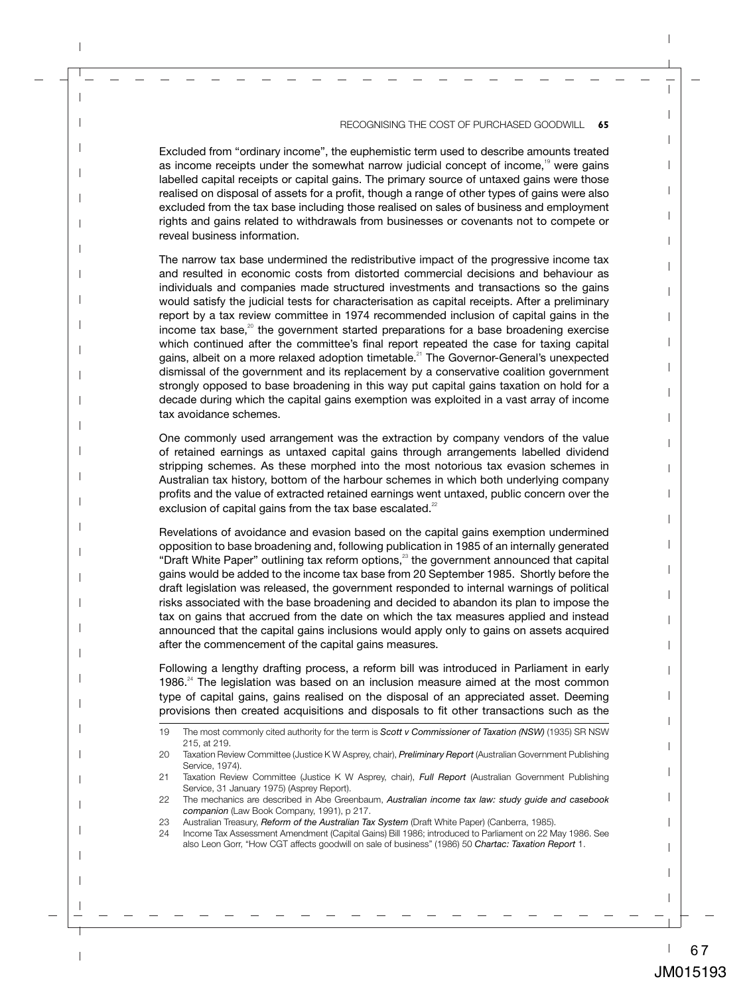Excluded from "ordinary income", the euphemistic term used to describe amounts treated as income receipts under the somewhat narrow judicial concept of income,<sup>19</sup> were gains labelled capital receipts or capital gains. The primary source of untaxed gains were those realised on disposal of assets for a profit, though a range of other types of gains were also excluded from the tax base including those realised on sales of business and employment rights and gains related to withdrawals from businesses or covenants not to compete or reveal business information.

The narrow tax base undermined the redistributive impact of the progressive income tax and resulted in economic costs from distorted commercial decisions and behaviour as individuals and companies made structured investments and transactions so the gains would satisfy the judicial tests for characterisation as capital receipts. After a preliminary report by a tax review committee in 1974 recommended inclusion of capital gains in the income tax base, $20$  the government started preparations for a base broadening exercise which continued after the committee's final report repeated the case for taxing capital gains, albeit on a more relaxed adoption timetable.<sup>21</sup> The Governor-General's unexpected dismissal of the government and its replacement by a conservative coalition government strongly opposed to base broadening in this way put capital gains taxation on hold for a decade during which the capital gains exemption was exploited in a vast array of income tax avoidance schemes.

One commonly used arrangement was the extraction by company vendors of the value of retained earnings as untaxed capital gains through arrangements labelled dividend stripping schemes. As these morphed into the most notorious tax evasion schemes in Australian tax history, bottom of the harbour schemes in which both underlying company profits and the value of extracted retained earnings went untaxed, public concern over the exclusion of capital gains from the tax base escalated. $22$ 

Revelations of avoidance and evasion based on the capital gains exemption undermined opposition to base broadening and, following publication in 1985 of an internally generated "Draft White Paper" outlining tax reform options, $23$  the government announced that capital gains would be added to the income tax base from 20 September 1985. Shortly before the draft legislation was released, the government responded to internal warnings of political risks associated with the base broadening and decided to abandon its plan to impose the tax on gains that accrued from the date on which the tax measures applied and instead announced that the capital gains inclusions would apply only to gains on assets acquired after the commencement of the capital gains measures.

Following a lengthy drafting process, a reform bill was introduced in Parliament in early 1986. $^{24}$  The legislation was based on an inclusion measure aimed at the most common type of capital gains, gains realised on the disposal of an appreciated asset. Deeming provisions then created acquisitions and disposals to fit other transactions such as the

<sup>19</sup> The most commonly cited authority for the term is *Scott v Commissioner of Taxation (NSW)* (1935) SR NSW 215, at 219.

<sup>20</sup> Taxation Review Committee (Justice K W Asprey, chair), *Preliminary Report* (Australian Government Publishing Service, 1974).

<sup>21</sup> Taxation Review Committee (Justice K W Asprey, chair), *Full Report* (Australian Government Publishing Service, 31 January 1975) (Asprey Report).

<sup>22</sup> The mechanics are described in Abe Greenbaum, *Australian income tax law: study guide and casebook companion* (Law Book Company, 1991), p 217.

<sup>23</sup> Australian Treasury, *Reform of the Australian Tax System* (Draft White Paper) (Canberra, 1985).

<sup>24</sup> Income Tax Assessment Amendment (Capital Gains) Bill 1986; introduced to Parliament on 22 May 1986. See also Leon Gorr, "How CGT affects goodwill on sale of business" (1986) 50 *Chartac: Taxation Report* 1.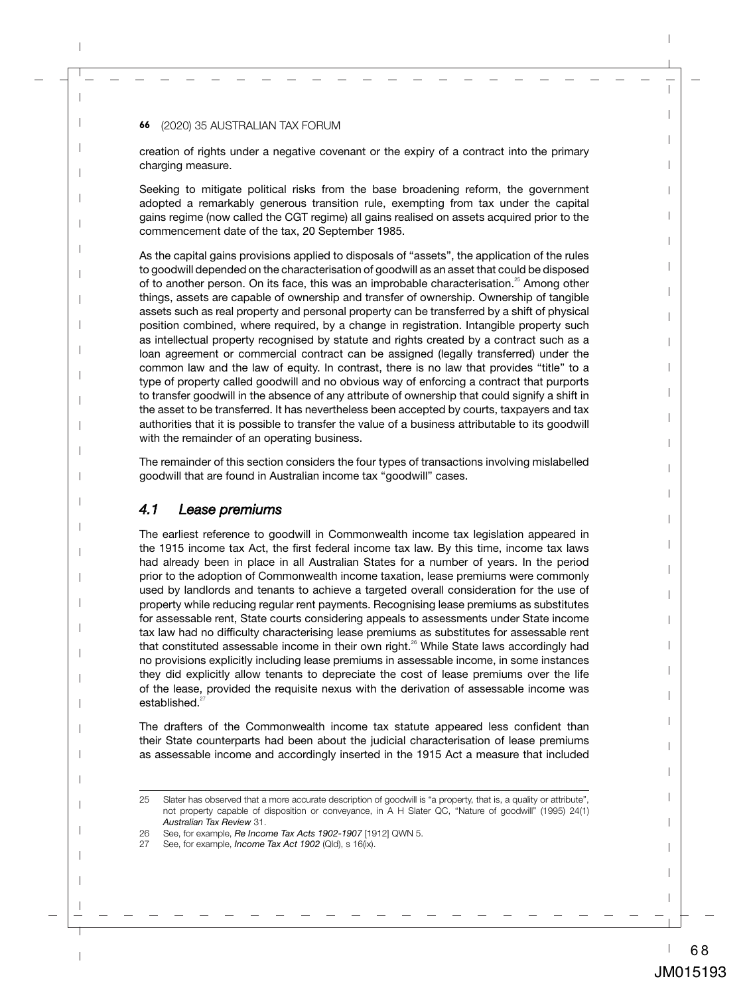creation of rights under a negative covenant or the expiry of a contract into the primary charging measure.

Seeking to mitigate political risks from the base broadening reform, the government adopted a remarkably generous transition rule, exempting from tax under the capital gains regime (now called the CGT regime) all gains realised on assets acquired prior to the commencement date of the tax, 20 September 1985.

As the capital gains provisions applied to disposals of "assets", the application of the rules to goodwill depended on the characterisation of goodwill as an asset that could be disposed of to another person. On its face, this was an improbable characterisation.<sup>25</sup> Among other things, assets are capable of ownership and transfer of ownership. Ownership of tangible assets such as real property and personal property can be transferred by a shift of physical position combined, where required, by a change in registration. Intangible property such as intellectual property recognised by statute and rights created by a contract such as a loan agreement or commercial contract can be assigned (legally transferred) under the common law and the law of equity. In contrast, there is no law that provides "title" to a type of property called goodwill and no obvious way of enforcing a contract that purports to transfer goodwill in the absence of any attribute of ownership that could signify a shift in the asset to be transferred. It has nevertheless been accepted by courts, taxpayers and tax authorities that it is possible to transfer the value of a business attributable to its goodwill with the remainder of an operating business.

The remainder of this section considers the four types of transactions involving mislabelled goodwill that are found in Australian income tax "goodwill" cases.

#### *4.1 Lease premiums*

The earliest reference to goodwill in Commonwealth income tax legislation appeared in the 1915 income tax Act, the first federal income tax law. By this time, income tax laws had already been in place in all Australian States for a number of years. In the period prior to the adoption of Commonwealth income taxation, lease premiums were commonly used by landlords and tenants to achieve a targeted overall consideration for the use of property while reducing regular rent payments. Recognising lease premiums as substitutes for assessable rent, State courts considering appeals to assessments under State income tax law had no difficulty characterising lease premiums as substitutes for assessable rent that constituted assessable income in their own right. $26$  While State laws accordingly had no provisions explicitly including lease premiums in assessable income, in some instances they did explicitly allow tenants to depreciate the cost of lease premiums over the life of the lease, provided the requisite nexus with the derivation of assessable income was established. $^{27}$ 

The drafters of the Commonwealth income tax statute appeared less confident than their State counterparts had been about the judicial characterisation of lease premiums as assessable income and accordingly inserted in the 1915 Act a measure that included

<sup>25</sup> Slater has observed that a more accurate description of goodwill is "a property, that is, a quality or attribute", not property capable of disposition or conveyance, in A H Slater QC, "Nature of goodwill" (1995) 24(1) *Australian Tax Review* 31.

<sup>26</sup> See, for example, *Re Income Tax Acts 1902-1907* [1912] QWN 5.

<sup>27</sup> See, for example, *Income Tax Act 1902* (Qld), s 16(ix).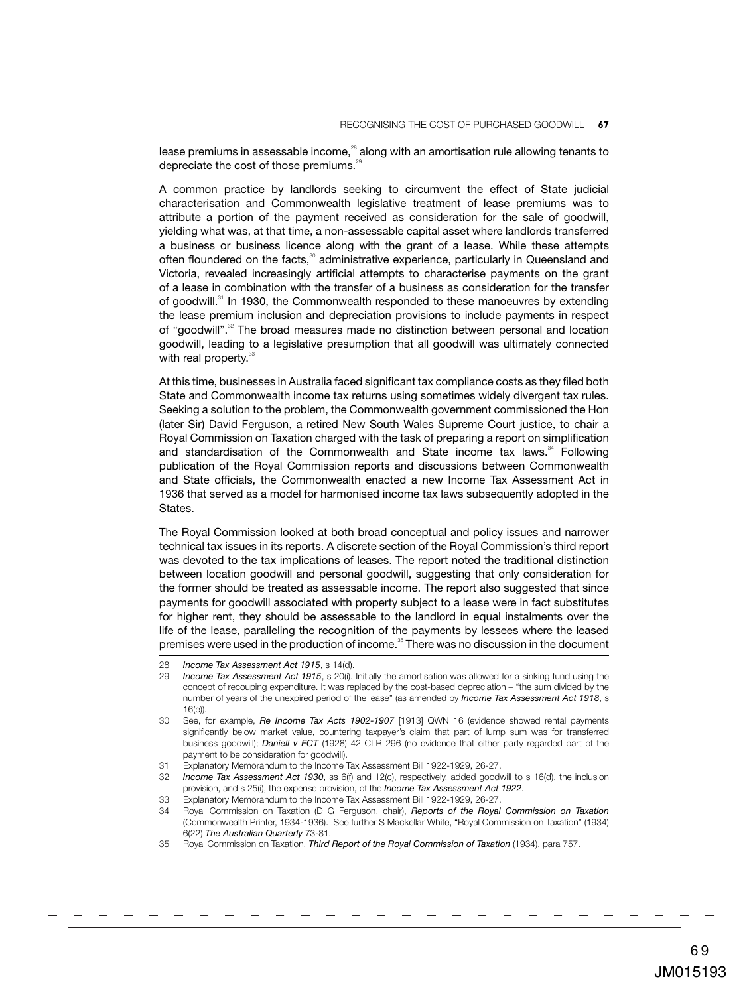lease premiums in assessable income.<sup>28</sup> along with an amortisation rule allowing tenants to depreciate the cost of those premiums.<sup>29</sup>

A common practice by landlords seeking to circumvent the effect of State judicial characterisation and Commonwealth legislative treatment of lease premiums was to attribute a portion of the payment received as consideration for the sale of goodwill, yielding what was, at that time, a non-assessable capital asset where landlords transferred a business or business licence along with the grant of a lease. While these attempts often floundered on the facts,<sup>30</sup> administrative experience, particularly in Queensland and Victoria, revealed increasingly artificial attempts to characterise payments on the grant of a lease in combination with the transfer of a business as consideration for the transfer of goodwill.<sup>31</sup> In 1930, the Commonwealth responded to these manoeuvres by extending the lease premium inclusion and depreciation provisions to include payments in respect of "goodwill".<sup>32</sup> The broad measures made no distinction between personal and location goodwill, leading to a legislative presumption that all goodwill was ultimately connected with real property.<sup>33</sup>

At this time, businesses in Australia faced significant tax compliance costs as they filed both State and Commonwealth income tax returns using sometimes widely divergent tax rules. Seeking a solution to the problem, the Commonwealth government commissioned the Hon (later Sir) David Ferguson, a retired New South Wales Supreme Court justice, to chair a Royal Commission on Taxation charged with the task of preparing a report on simplification and standardisation of the Commonwealth and State income tax laws. $34$  Following publication of the Royal Commission reports and discussions between Commonwealth and State officials, the Commonwealth enacted a new Income Tax Assessment Act in 1936 that served as a model for harmonised income tax laws subsequently adopted in the States.

The Royal Commission looked at both broad conceptual and policy issues and narrower technical tax issues in its reports. A discrete section of the Royal Commission's third report was devoted to the tax implications of leases. The report noted the traditional distinction between location goodwill and personal goodwill, suggesting that only consideration for the former should be treated as assessable income. The report also suggested that since payments for goodwill associated with property subject to a lease were in fact substitutes for higher rent, they should be assessable to the landlord in equal instalments over the life of the lease, paralleling the recognition of the payments by lessees where the leased premises were used in the production of income.<sup>35</sup> There was no discussion in the document

<sup>28</sup> *Income Tax Assessment Act 1915*, s 14(d).

<sup>29</sup> *Income Tax Assessment Act 1915*, s 20(i). Initially the amortisation was allowed for a sinking fund using the concept of recouping expenditure. It was replaced by the cost-based depreciation – "the sum divided by the number of years of the unexpired period of the lease" (as amended by *Income Tax Assessment Act 1918*, s 16(e)).

<sup>30</sup> See, for example, *Re Income Tax Acts 1902-1907* [1913] QWN 16 (evidence showed rental payments significantly below market value, countering taxpayer's claim that part of lump sum was for transferred business goodwill); *Daniell v FCT* (1928) 42 CLR 296 (no evidence that either party regarded part of the payment to be consideration for goodwill).

<sup>31</sup> Explanatory Memorandum to the Income Tax Assessment Bill 1922-1929, 26-27.

<sup>32</sup> *Income Tax Assessment Act 1930*, ss 6(f) and 12(c), respectively, added goodwill to s 16(d), the inclusion provision, and s 25(i), the expense provision, of the *Income Tax Assessment Act 1922*.

<sup>33</sup> Explanatory Memorandum to the Income Tax Assessment Bill 1922-1929, 26-27.

<sup>34</sup> Royal Commission on Taxation (D G Ferguson, chair), *Reports of the Royal Commission on Taxation* (Commonwealth Printer, 1934-1936). See further S Mackellar White, "Royal Commission on Taxation" (1934) 6(22) *The Australian Quarterly* 73-81.

<sup>35</sup> Royal Commission on Taxation, *Third Report of the Royal Commission of Taxation* (1934), para 757.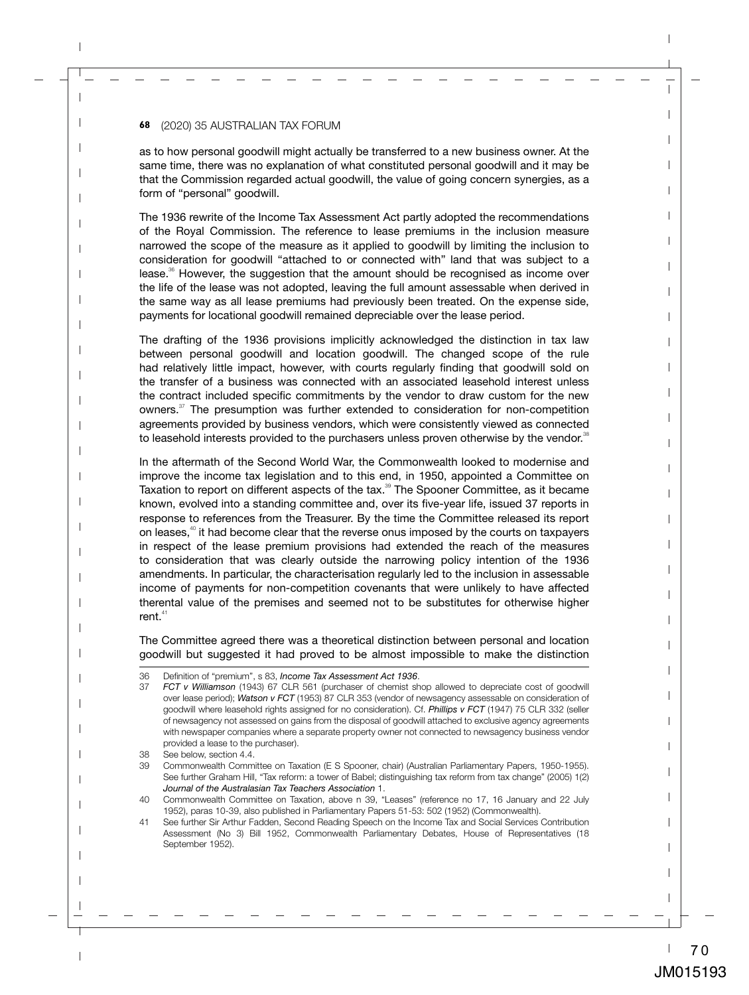as to how personal goodwill might actually be transferred to a new business owner. At the same time, there was no explanation of what constituted personal goodwill and it may be that the Commission regarded actual goodwill, the value of going concern synergies, as a form of "personal" goodwill.

The 1936 rewrite of the Income Tax Assessment Act partly adopted the recommendations of the Royal Commission. The reference to lease premiums in the inclusion measure narrowed the scope of the measure as it applied to goodwill by limiting the inclusion to consideration for goodwill "attached to or connected with" land that was subject to a lease. $\frac{36}{5}$  However, the suggestion that the amount should be recognised as income over the life of the lease was not adopted, leaving the full amount assessable when derived in the same way as all lease premiums had previously been treated. On the expense side, payments for locational goodwill remained depreciable over the lease period.

The drafting of the 1936 provisions implicitly acknowledged the distinction in tax law between personal goodwill and location goodwill. The changed scope of the rule had relatively little impact, however, with courts regularly finding that goodwill sold on the transfer of a business was connected with an associated leasehold interest unless the contract included specific commitments by the vendor to draw custom for the new owners.<sup>37</sup> The presumption was further extended to consideration for non-competition agreements provided by business vendors, which were consistently viewed as connected to leasehold interests provided to the purchasers unless proven otherwise by the vendor.<sup>38</sup>

In the aftermath of the Second World War, the Commonwealth looked to modernise and improve the income tax legislation and to this end, in 1950, appointed a Committee on Taxation to report on different aspects of the tax.<sup>39</sup> The Spooner Committee, as it became known, evolved into a standing committee and, over its five-year life, issued 37 reports in response to references from the Treasurer. By the time the Committee released its report on leases, $40$  it had become clear that the reverse onus imposed by the courts on taxpayers in respect of the lease premium provisions had extended the reach of the measures to consideration that was clearly outside the narrowing policy intention of the 1936 amendments. In particular, the characterisation regularly led to the inclusion in assessable income of payments for non-competition covenants that were unlikely to have affected therental value of the premises and seemed not to be substitutes for otherwise higher rent. $^\mathrm{41}$ 

The Committee agreed there was a theoretical distinction between personal and location goodwill but suggested it had proved to be almost impossible to make the distinction

<sup>36</sup> Definition of "premium", s 83, *Income Tax Assessment Act 1936*.

<sup>37</sup> *FCT v Williamson* (1943) 67 CLR 561 (purchaser of chemist shop allowed to depreciate cost of goodwill over lease period); *Watson v FCT* (1953) 87 CLR 353 (vendor of newsagency assessable on consideration of goodwill where leasehold rights assigned for no consideration). Cf. *Phillips v FCT* (1947) 75 CLR 332 (seller of newsagency not assessed on gains from the disposal of goodwill attached to exclusive agency agreements with newspaper companies where a separate property owner not connected to newsagency business vendor provided a lease to the purchaser).

<sup>38</sup> See below, section 4.4.

<sup>39</sup> Commonwealth Committee on Taxation (E S Spooner, chair) (Australian Parliamentary Papers, 1950-1955). See further Graham Hill, "Tax reform: a tower of Babel; distinguishing tax reform from tax change" (2005) 1(2) *Journal of the Australasian Tax Teachers Association* 1.

<sup>40</sup> Commonwealth Committee on Taxation, above n 39, "Leases" (reference no 17, 16 January and 22 July 1952), paras 10-39, also published in Parliamentary Papers 51-53: 502 (1952) (Commonwealth).

<sup>41</sup> See further Sir Arthur Fadden, Second Reading Speech on the Income Tax and Social Services Contribution Assessment (No 3) Bill 1952, Commonwealth Parliamentary Debates, House of Representatives (18 September 1952).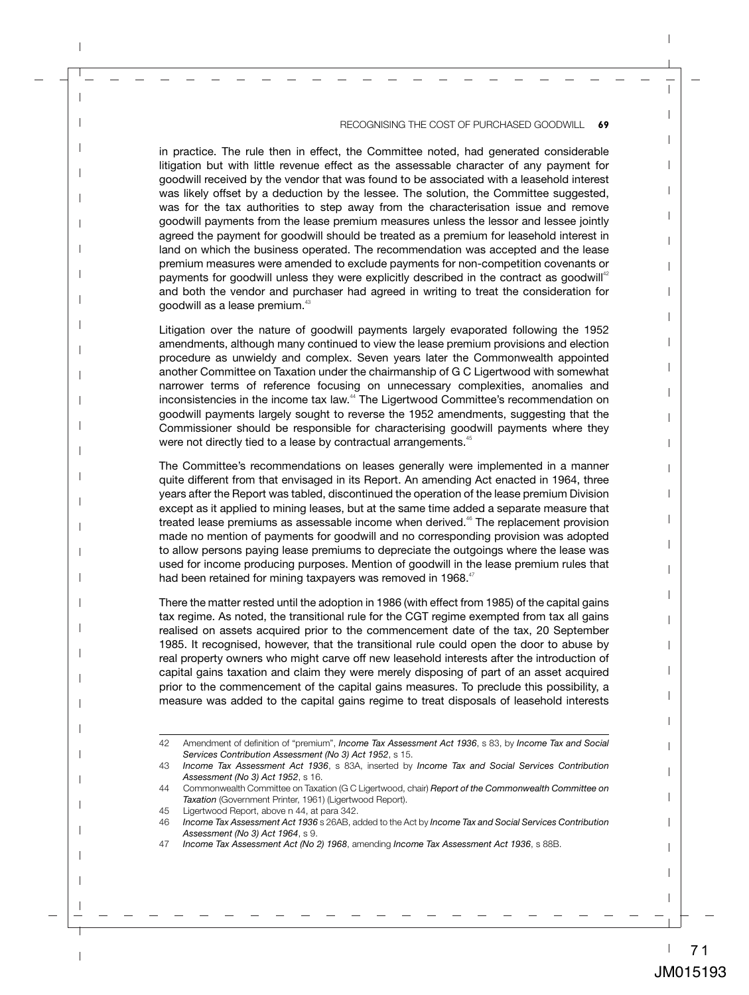in practice. The rule then in effect, the Committee noted, had generated considerable litigation but with little revenue effect as the assessable character of any payment for goodwill received by the vendor that was found to be associated with a leasehold interest was likely offset by a deduction by the lessee. The solution, the Committee suggested, was for the tax authorities to step away from the characterisation issue and remove goodwill payments from the lease premium measures unless the lessor and lessee jointly agreed the payment for goodwill should be treated as a premium for leasehold interest in land on which the business operated. The recommendation was accepted and the lease premium measures were amended to exclude payments for non-competition covenants or payments for goodwill unless they were explicitly described in the contract as goodwill<sup>42</sup> and both the vendor and purchaser had agreed in writing to treat the consideration for goodwill as a lease premium. $43$ 

Litigation over the nature of goodwill payments largely evaporated following the 1952 amendments, although many continued to view the lease premium provisions and election procedure as unwieldy and complex. Seven years later the Commonwealth appointed another Committee on Taxation under the chairmanship of G C Ligertwood with somewhat narrower terms of reference focusing on unnecessary complexities, anomalies and inconsistencies in the income tax law.<sup>44</sup> The Ligertwood Committee's recommendation on goodwill payments largely sought to reverse the 1952 amendments, suggesting that the Commissioner should be responsible for characterising goodwill payments where they were not directly tied to a lease by contractual arrangements.<sup>45</sup>

The Committee's recommendations on leases generally were implemented in a manner quite different from that envisaged in its Report. An amending Act enacted in 1964, three years after the Report was tabled, discontinued the operation of the lease premium Division except as it applied to mining leases, but at the same time added a separate measure that treated lease premiums as assessable income when derived.<sup>46</sup> The replacement provision made no mention of payments for goodwill and no corresponding provision was adopted to allow persons paying lease premiums to depreciate the outgoings where the lease was used for income producing purposes. Mention of goodwill in the lease premium rules that had been retained for mining taxpayers was removed in 1968.<sup>47</sup>

There the matter rested until the adoption in 1986 (with effect from 1985) of the capital gains tax regime. As noted, the transitional rule for the CGT regime exempted from tax all gains realised on assets acquired prior to the commencement date of the tax, 20 September 1985. It recognised, however, that the transitional rule could open the door to abuse by real property owners who might carve off new leasehold interests after the introduction of capital gains taxation and claim they were merely disposing of part of an asset acquired prior to the commencement of the capital gains measures. To preclude this possibility, a measure was added to the capital gains regime to treat disposals of leasehold interests

<sup>42</sup> Amendment of definition of "premium", *Income Tax Assessment Act 1936*, s 83, by *Income Tax and Social Services Contribution Assessment (No 3) Act 1952*, s 15.

<sup>43</sup> *Income Tax Assessment Act 1936*, s 83A, inserted by *Income Tax and Social Services Contribution Assessment (No 3) Act 1952*, s 16.

<sup>44</sup> Commonwealth Committee on Taxation (G C Ligertwood, chair) *Report of the Commonwealth Committee on Taxation* (Government Printer, 1961) (Ligertwood Report).

<sup>45</sup> Ligertwood Report, above n 44, at para 342.

<sup>46</sup> *Income Tax Assessment Act 1936* s 26AB, added to the Act by *Income Tax and Social Services Contribution Assessment (No 3) Act 1964*, s 9.

<sup>47</sup> *Income Tax Assessment Act (No 2) 1968*, amending *Income Tax Assessment Act 1936*, s 88B.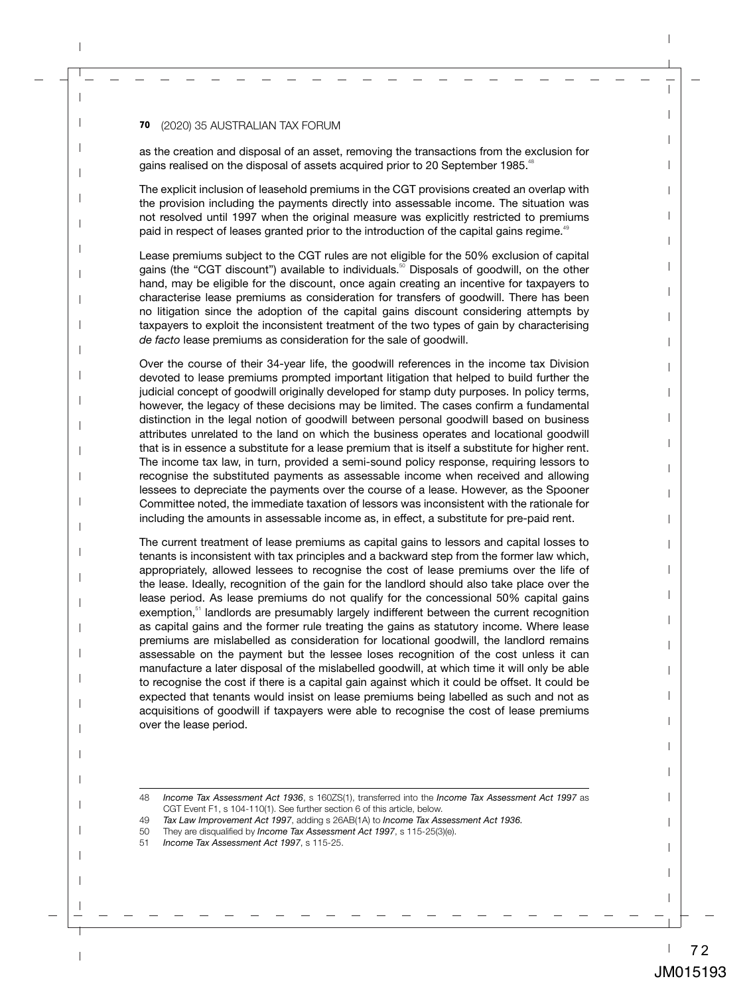as the creation and disposal of an asset, removing the transactions from the exclusion for gains realised on the disposal of assets acquired prior to 20 September 1985.<sup>48</sup>

The explicit inclusion of leasehold premiums in the CGT provisions created an overlap with the provision including the payments directly into assessable income. The situation was not resolved until 1997 when the original measure was explicitly restricted to premiums paid in respect of leases granted prior to the introduction of the capital gains regime.<sup>49</sup>

Lease premiums subject to the CGT rules are not eligible for the 50% exclusion of capital gains (the "CGT discount") available to individuals.<sup>50</sup> Disposals of goodwill, on the other hand, may be eligible for the discount, once again creating an incentive for taxpayers to characterise lease premiums as consideration for transfers of goodwill. There has been no litigation since the adoption of the capital gains discount considering attempts by taxpayers to exploit the inconsistent treatment of the two types of gain by characterising *de facto* lease premiums as consideration for the sale of goodwill.

Over the course of their 34-year life, the goodwill references in the income tax Division devoted to lease premiums prompted important litigation that helped to build further the judicial concept of goodwill originally developed for stamp duty purposes. In policy terms, however, the legacy of these decisions may be limited. The cases confirm a fundamental distinction in the legal notion of goodwill between personal goodwill based on business attributes unrelated to the land on which the business operates and locational goodwill that is in essence a substitute for a lease premium that is itself a substitute for higher rent. The income tax law, in turn, provided a semi-sound policy response, requiring lessors to recognise the substituted payments as assessable income when received and allowing lessees to depreciate the payments over the course of a lease. However, as the Spooner Committee noted, the immediate taxation of lessors was inconsistent with the rationale for including the amounts in assessable income as, in effect, a substitute for pre-paid rent.

The current treatment of lease premiums as capital gains to lessors and capital losses to tenants is inconsistent with tax principles and a backward step from the former law which, appropriately, allowed lessees to recognise the cost of lease premiums over the life of the lease. Ideally, recognition of the gain for the landlord should also take place over the lease period. As lease premiums do not qualify for the concessional 50% capital gains exemption,<sup>51</sup> landlords are presumably largely indifferent between the current recognition as capital gains and the former rule treating the gains as statutory income. Where lease premiums are mislabelled as consideration for locational goodwill, the landlord remains assessable on the payment but the lessee loses recognition of the cost unless it can manufacture a later disposal of the mislabelled goodwill, at which time it will only be able to recognise the cost if there is a capital gain against which it could be offset. It could be expected that tenants would insist on lease premiums being labelled as such and not as acquisitions of goodwill if taxpayers were able to recognise the cost of lease premiums over the lease period.

<sup>48</sup> *Income Tax Assessment Act 1936*, s 160ZS(1), transferred into the *Income Tax Assessment Act 1997* as CGT Event F1, s 104-110(1). See further section 6 of this article, below.

<sup>49</sup> *Tax Law Improvement Act 1997*, adding s 26AB(1A) to *Income Tax Assessment Act 1936.*

<sup>50</sup> They are disqualified by *Income Tax Assessment Act 1997*, s 115-25(3)(e).

<sup>51</sup> *Income Tax Assessment Act 1997*, s 115-25.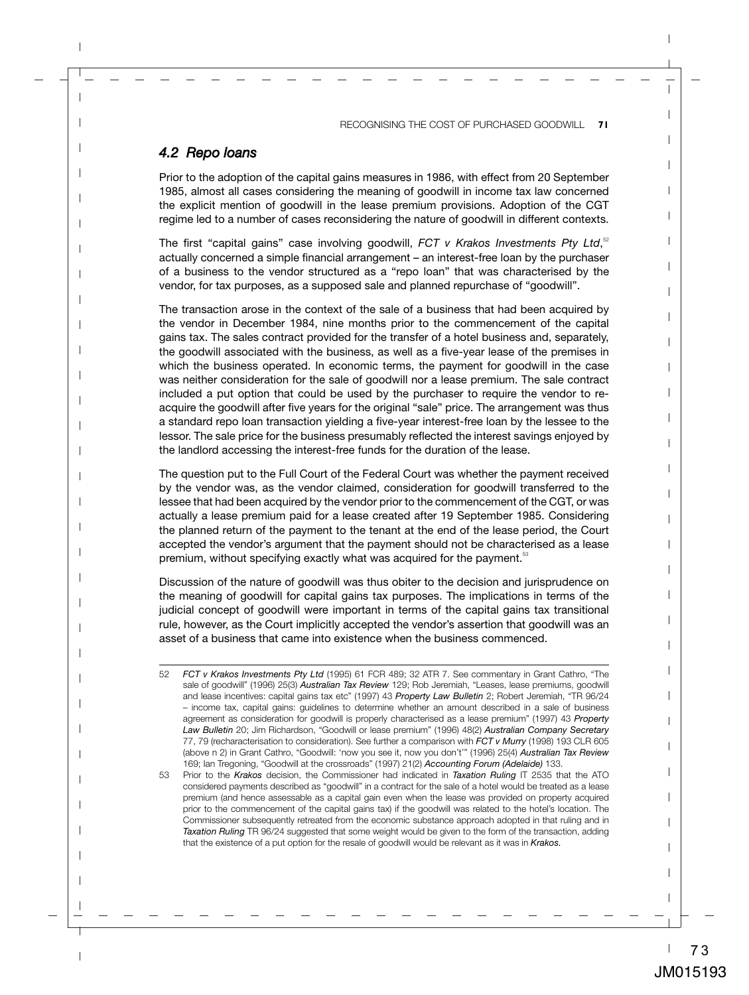#### *4.2 Repo loans*

Prior to the adoption of the capital gains measures in 1986, with effect from 20 September 1985, almost all cases considering the meaning of goodwill in income tax law concerned the explicit mention of goodwill in the lease premium provisions. Adoption of the CGT regime led to a number of cases reconsidering the nature of goodwill in different contexts.

The first "capital gains" case involving goodwill, *FCT v Krakos Investments Pty Ltd*,<sup>52</sup> actually concerned a simple financial arrangement – an interest-free loan by the purchaser of a business to the vendor structured as a "repo loan" that was characterised by the vendor, for tax purposes, as a supposed sale and planned repurchase of "goodwill".

The transaction arose in the context of the sale of a business that had been acquired by the vendor in December 1984, nine months prior to the commencement of the capital gains tax. The sales contract provided for the transfer of a hotel business and, separately, the goodwill associated with the business, as well as a five-year lease of the premises in which the business operated. In economic terms, the payment for goodwill in the case was neither consideration for the sale of goodwill nor a lease premium. The sale contract included a put option that could be used by the purchaser to require the vendor to reacquire the goodwill after five years for the original "sale" price. The arrangement was thus a standard repo loan transaction yielding a five-year interest-free loan by the lessee to the lessor. The sale price for the business presumably reflected the interest savings enjoyed by the landlord accessing the interest-free funds for the duration of the lease.

The question put to the Full Court of the Federal Court was whether the payment received by the vendor was, as the vendor claimed, consideration for goodwill transferred to the lessee that had been acquired by the vendor prior to the commencement of the CGT, or was actually a lease premium paid for a lease created after 19 September 1985. Considering the planned return of the payment to the tenant at the end of the lease period, the Court accepted the vendor's argument that the payment should not be characterised as a lease premium, without specifying exactly what was acquired for the payment.<sup>53</sup>

Discussion of the nature of goodwill was thus obiter to the decision and jurisprudence on the meaning of goodwill for capital gains tax purposes. The implications in terms of the judicial concept of goodwill were important in terms of the capital gains tax transitional rule, however, as the Court implicitly accepted the vendor's assertion that goodwill was an asset of a business that came into existence when the business commenced.

<sup>52</sup> *FCT v Krakos Investments Pty Ltd* (1995) 61 FCR 489; 32 ATR 7. See commentary in Grant Cathro, "The sale of goodwill" (1996) 25(3) *Australian Tax Review* 129; Rob Jeremiah, "Leases, lease premiums, goodwill and lease incentives: capital gains tax etc" (1997) 43 *Property Law Bulletin* 2; Robert Jeremiah, "TR 96/24 – income tax, capital gains: guidelines to determine whether an amount described in a sale of business agreement as consideration for goodwill is properly characterised as a lease premium" (1997) 43 *Property Law Bulletin* 20; Jim Richardson, "Goodwill or lease premium" (1996) 48(2) *Australian Company Secretary* 77, 79 (recharacterisation to consideration). See further a comparison with *FCT v Murry* (1998) 193 CLR 605 (above n 2) in Grant Cathro, "Goodwill: 'now you see it, now you don't'" (1996) 25(4) *Australian Tax Review* 169; Ian Tregoning, "Goodwill at the crossroads" (1997) 21(2) *Accounting Forum (Adelaide)* 133.

<sup>53</sup> Prior to the *Krakos* decision, the Commissioner had indicated in *Taxation Ruling* IT 2535 that the ATO considered payments described as "goodwill" in a contract for the sale of a hotel would be treated as a lease premium (and hence assessable as a capital gain even when the lease was provided on property acquired prior to the commencement of the capital gains tax) if the goodwill was related to the hotel's location. The Commissioner subsequently retreated from the economic substance approach adopted in that ruling and in *Taxation Ruling* TR 96/24 suggested that some weight would be given to the form of the transaction, adding that the existence of a put option for the resale of goodwill would be relevant as it was in *Krakos.*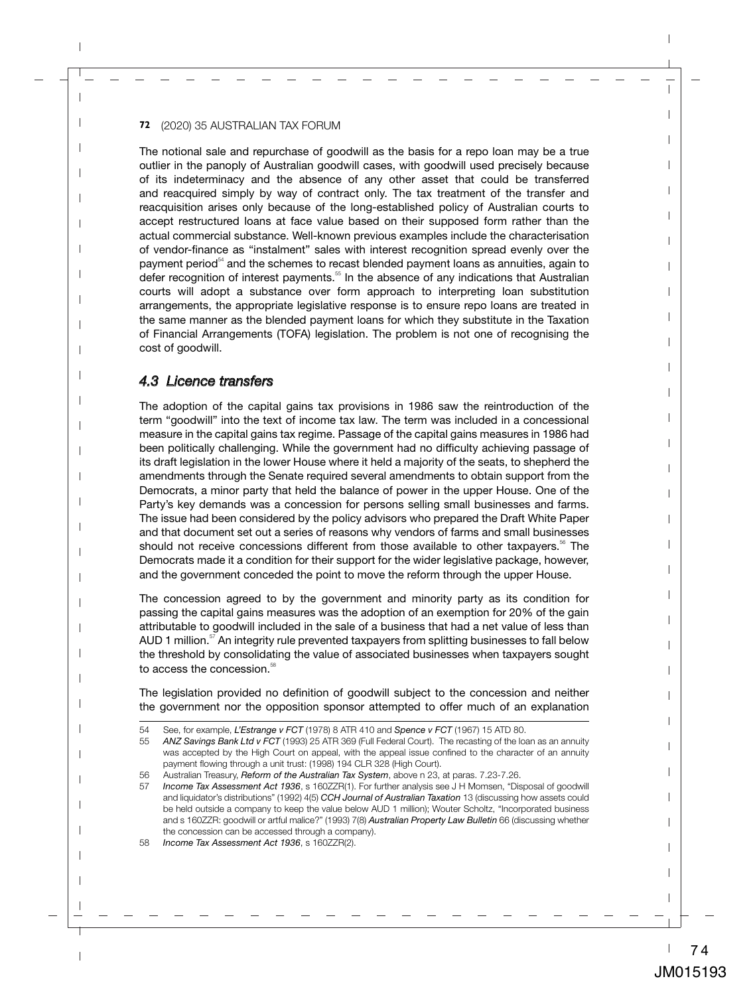The notional sale and repurchase of goodwill as the basis for a repo loan may be a true outlier in the panoply of Australian goodwill cases, with goodwill used precisely because of its indeterminacy and the absence of any other asset that could be transferred and reacquired simply by way of contract only. The tax treatment of the transfer and reacquisition arises only because of the long-established policy of Australian courts to accept restructured loans at face value based on their supposed form rather than the actual commercial substance. Well-known previous examples include the characterisation of vendor-finance as "instalment" sales with interest recognition spread evenly over the payment period $54$  and the schemes to recast blended payment loans as annuities, again to defer recognition of interest payments.<sup>55</sup> In the absence of any indications that Australian courts will adopt a substance over form approach to interpreting loan substitution arrangements, the appropriate legislative response is to ensure repo loans are treated in the same manner as the blended payment loans for which they substitute in the Taxation of Financial Arrangements (TOFA) legislation. The problem is not one of recognising the cost of goodwill.

## *4.3 Licence transfers*

The adoption of the capital gains tax provisions in 1986 saw the reintroduction of the term "goodwill" into the text of income tax law. The term was included in a concessional measure in the capital gains tax regime. Passage of the capital gains measures in 1986 had been politically challenging. While the government had no difficulty achieving passage of its draft legislation in the lower House where it held a majority of the seats, to shepherd the amendments through the Senate required several amendments to obtain support from the Democrats, a minor party that held the balance of power in the upper House. One of the Party's key demands was a concession for persons selling small businesses and farms. The issue had been considered by the policy advisors who prepared the Draft White Paper and that document set out a series of reasons why vendors of farms and small businesses should not receive concessions different from those available to other taxpayers.<sup>56</sup> The Democrats made it a condition for their support for the wider legislative package, however, and the government conceded the point to move the reform through the upper House.

The concession agreed to by the government and minority party as its condition for passing the capital gains measures was the adoption of an exemption for 20% of the gain attributable to goodwill included in the sale of a business that had a net value of less than AUD 1 million. $57$  An integrity rule prevented taxpayers from splitting businesses to fall below the threshold by consolidating the value of associated businesses when taxpayers sought to access the concession.<sup>58</sup>

The legislation provided no definition of goodwill subject to the concession and neither the government nor the opposition sponsor attempted to offer much of an explanation

<sup>54</sup> See, for example, *L'Estrange v FCT* (1978) 8 ATR 410 and *Spence v FCT* (1967) 15 ATD 80.

<sup>55</sup> *ANZ Savings Bank Ltd v FCT* (1993) 25 ATR 369 (Full Federal Court). The recasting of the loan as an annuity was accepted by the High Court on appeal, with the appeal issue confined to the character of an annuity payment flowing through a unit trust: (1998) 194 CLR 328 (High Court).

<sup>56</sup> Australian Treasury, *Reform of the Australian Tax System*, above n 23, at paras. 7.23-7.26.

<sup>57</sup> *Income Tax Assessment Act 1936*, s 160ZZR(1). For further analysis see J H Momsen, "Disposal of goodwill and liquidator's distributions" (1992) 4(5) *CCH Journal of Australian Taxation* 13 (discussing how assets could be held outside a company to keep the value below AUD 1 million); Wouter Scholtz, "Incorporated business and s 160ZZR: goodwill or artful malice?" (1993) 7(8) *Australian Property Law Bulletin* 66 (discussing whether the concession can be accessed through a company).

<sup>58</sup> *Income Tax Assessment Act 1936*, s 160ZZR(2).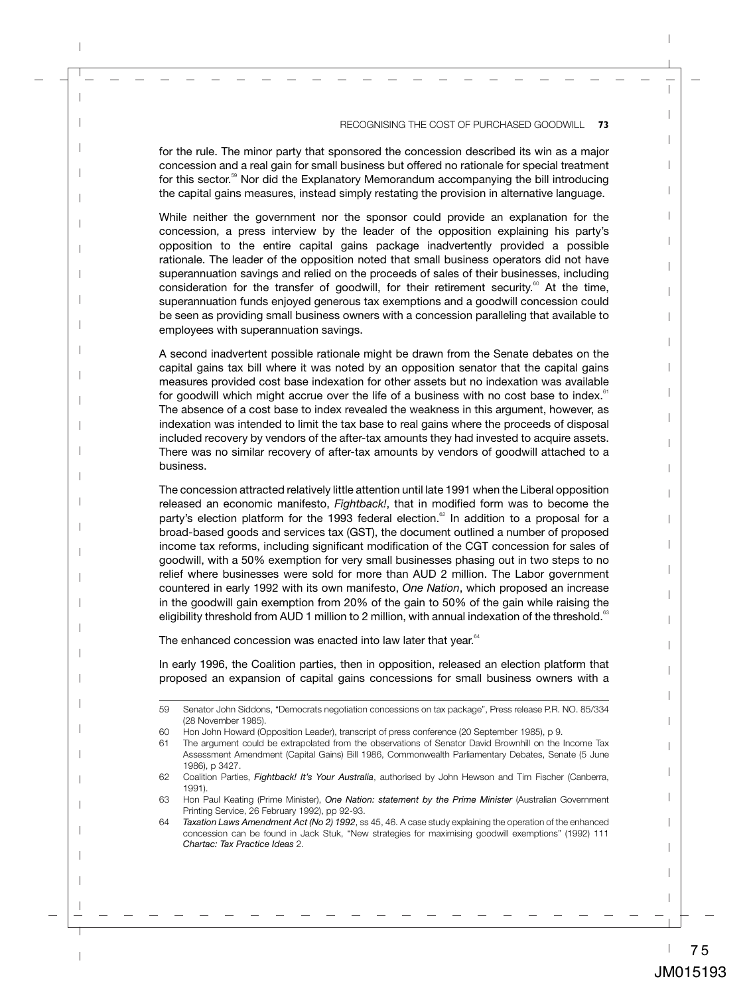for the rule. The minor party that sponsored the concession described its win as a major concession and a real gain for small business but offered no rationale for special treatment for this sector.<sup>59</sup> Nor did the Explanatory Memorandum accompanying the bill introducing the capital gains measures, instead simply restating the provision in alternative language.

While neither the government nor the sponsor could provide an explanation for the concession, a press interview by the leader of the opposition explaining his party's opposition to the entire capital gains package inadvertently provided a possible rationale. The leader of the opposition noted that small business operators did not have superannuation savings and relied on the proceeds of sales of their businesses, including consideration for the transfer of goodwill, for their retirement security.<sup>60</sup> At the time, superannuation funds enjoyed generous tax exemptions and a goodwill concession could be seen as providing small business owners with a concession paralleling that available to employees with superannuation savings.

A second inadvertent possible rationale might be drawn from the Senate debates on the capital gains tax bill where it was noted by an opposition senator that the capital gains measures provided cost base indexation for other assets but no indexation was available for goodwill which might accrue over the life of a business with no cost base to index. $61$ The absence of a cost base to index revealed the weakness in this argument, however, as indexation was intended to limit the tax base to real gains where the proceeds of disposal included recovery by vendors of the after-tax amounts they had invested to acquire assets. There was no similar recovery of after-tax amounts by vendors of goodwill attached to a business.

The concession attracted relatively little attention until late 1991 when the Liberal opposition released an economic manifesto, *Fightback!*, that in modified form was to become the party's election platform for the 1993 federal election.<sup> $\alpha$ </sup> In addition to a proposal for a broad-based goods and services tax (GST), the document outlined a number of proposed income tax reforms, including significant modification of the CGT concession for sales of goodwill, with a 50% exemption for very small businesses phasing out in two steps to no relief where businesses were sold for more than AUD 2 million. The Labor government countered in early 1992 with its own manifesto, *One Nation*, which proposed an increase in the goodwill gain exemption from 20% of the gain to 50% of the gain while raising the eligibility threshold from AUD 1 million to 2 million, with annual indexation of the threshold.<sup>63</sup>

The enhanced concession was enacted into law later that year.<sup>64</sup>

In early 1996, the Coalition parties, then in opposition, released an election platform that proposed an expansion of capital gains concessions for small business owners with a

<sup>59</sup> Senator John Siddons, "Democrats negotiation concessions on tax package", Press release P.R. NO. 85/334 (28 November 1985).

<sup>60</sup> Hon John Howard (Opposition Leader), transcript of press conference (20 September 1985), p 9.

<sup>61</sup> The argument could be extrapolated from the observations of Senator David Brownhill on the Income Tax Assessment Amendment (Capital Gains) Bill 1986, Commonwealth Parliamentary Debates, Senate (5 June 1986), p 3427.

<sup>62</sup> Coalition Parties, *Fightback! It's Your Australia*, authorised by John Hewson and Tim Fischer (Canberra, 1991).

<sup>63</sup> Hon Paul Keating (Prime Minister), *One Nation: statement by the Prime Minister* (Australian Government Printing Service, 26 February 1992), pp 92-93.

<sup>64</sup> *Taxation Laws Amendment Act (No 2) 1992*, ss 45, 46. A case study explaining the operation of the enhanced concession can be found in Jack Stuk, "New strategies for maximising goodwill exemptions" (1992) 111 *Chartac: Tax Practice Ideas* 2.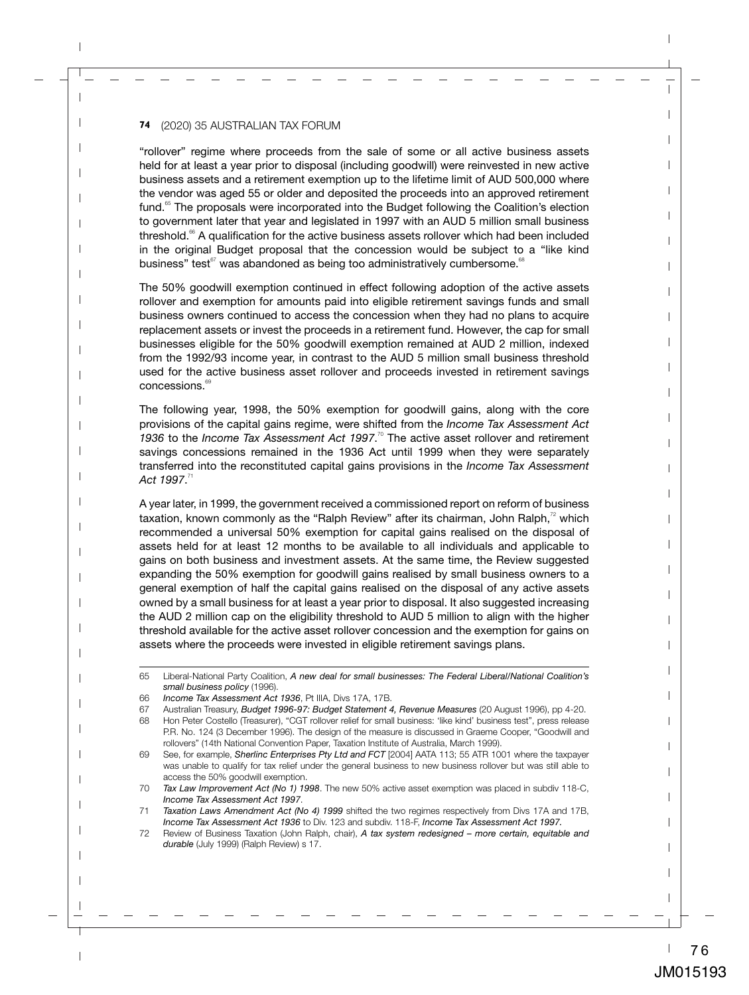"rollover" regime where proceeds from the sale of some or all active business assets held for at least a year prior to disposal (including goodwill) were reinvested in new active business assets and a retirement exemption up to the lifetime limit of AUD 500,000 where the vendor was aged 55 or older and deposited the proceeds into an approved retirement fund.<sup>65</sup> The proposals were incorporated into the Budget following the Coalition's election to government later that year and legislated in 1997 with an AUD 5 million small business threshold. $66$  A qualification for the active business assets rollover which had been included in the original Budget proposal that the concession would be subject to a "like kind business" test $67$  was abandoned as being too administratively cumbersome. $68$ 

The 50% goodwill exemption continued in effect following adoption of the active assets rollover and exemption for amounts paid into eligible retirement savings funds and small business owners continued to access the concession when they had no plans to acquire replacement assets or invest the proceeds in a retirement fund. However, the cap for small businesses eligible for the 50% goodwill exemption remained at AUD 2 million, indexed from the 1992/93 income year, in contrast to the AUD 5 million small business threshold used for the active business asset rollover and proceeds invested in retirement savings concessions.<sup>69</sup>

The following year, 1998, the 50% exemption for goodwill gains, along with the core provisions of the capital gains regime, were shifted from the *Income Tax Assessment Act*  1936 to the *Income Tax Assessment Act 1997*.<sup>70</sup> The active asset rollover and retirement savings concessions remained in the 1936 Act until 1999 when they were separately transferred into the reconstituted capital gains provisions in the *Income Tax Assessment Act 1997*. 71

A year later, in 1999, the government received a commissioned report on reform of business taxation, known commonly as the "Ralph Review" after its chairman, John Ralph, $^{72}$  which recommended a universal 50% exemption for capital gains realised on the disposal of assets held for at least 12 months to be available to all individuals and applicable to gains on both business and investment assets. At the same time, the Review suggested expanding the 50% exemption for goodwill gains realised by small business owners to a general exemption of half the capital gains realised on the disposal of any active assets owned by a small business for at least a year prior to disposal. It also suggested increasing the AUD 2 million cap on the eligibility threshold to AUD 5 million to align with the higher threshold available for the active asset rollover concession and the exemption for gains on assets where the proceeds were invested in eligible retirement savings plans.

<sup>65</sup> Liberal-National Party Coalition, *A new deal for small businesses: The Federal Liberal/National Coalition's small business policy* (1996).

<sup>66</sup> *Income Tax Assessment Act 1936*, Pt IIIA, Divs 17A, 17B.

<sup>67</sup> Australian Treasury, *Budget 1996-97: Budget Statement 4, Revenue Measures* (20 August 1996), pp 4-20.

<sup>68</sup> Hon Peter Costello (Treasurer), "CGT rollover relief for small business: 'like kind' business test", press release P.R. No. 124 (3 December 1996). The design of the measure is discussed in Graeme Cooper, "Goodwill and rollovers" (14th National Convention Paper, Taxation Institute of Australia, March 1999).

<sup>69</sup> See, for example, *Sherlinc Enterprises Pty Ltd and FCT* [2004] AATA 113; 55 ATR 1001 where the taxpayer was unable to qualify for tax relief under the general business to new business rollover but was still able to access the 50% goodwill exemption.

<sup>70</sup> *Tax Law Improvement Act (No 1) 1998*. The new 50% active asset exemption was placed in subdiv 118-C, *Income Tax Assessment Act 1997*.

<sup>71</sup> *Taxation Laws Amendment Act (No 4) 1999* shifted the two regimes respectively from Divs 17A and 17B, *Income Tax Assessment Act 1936* to Div. 123 and subdiv. 118-F, *Income Tax Assessment Act 1997.*

<sup>72</sup> Review of Business Taxation (John Ralph, chair), *A tax system redesigned – more certain, equitable and durable* (July 1999) (Ralph Review) s 17.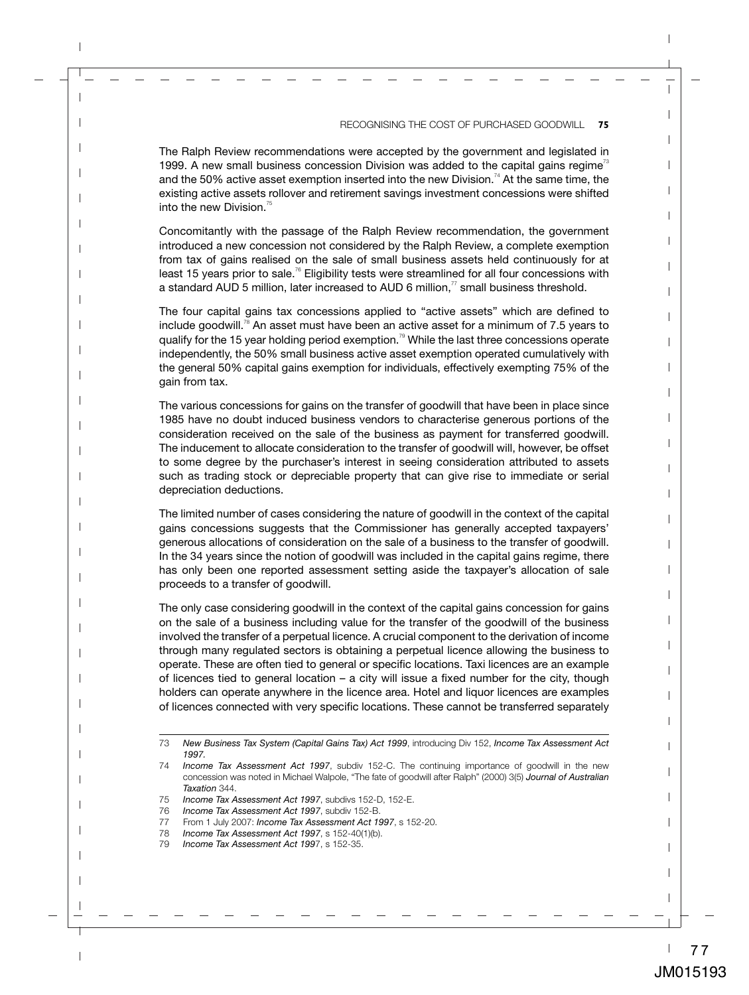The Ralph Review recommendations were accepted by the government and legislated in 1999. A new small business concession Division was added to the capital gains regime<sup>73</sup> and the 50% active asset exemption inserted into the new Division.<sup>74</sup> At the same time, the existing active assets rollover and retirement savings investment concessions were shifted into the new Division. $75$ 

Concomitantly with the passage of the Ralph Review recommendation, the government introduced a new concession not considered by the Ralph Review, a complete exemption from tax of gains realised on the sale of small business assets held continuously for at least 15 years prior to sale.<sup>76</sup> Eligibility tests were streamlined for all four concessions with a standard AUD 5 million, later increased to AUD 6 million, $\pi$  small business threshold.

The four capital gains tax concessions applied to "active assets" which are defined to include goodwill.<sup>78</sup> An asset must have been an active asset for a minimum of 7.5 years to qualify for the 15 year holding period exemption.<sup>79</sup> While the last three concessions operate independently, the 50% small business active asset exemption operated cumulatively with the general 50% capital gains exemption for individuals, effectively exempting 75% of the gain from tax.

The various concessions for gains on the transfer of goodwill that have been in place since 1985 have no doubt induced business vendors to characterise generous portions of the consideration received on the sale of the business as payment for transferred goodwill. The inducement to allocate consideration to the transfer of goodwill will, however, be offset to some degree by the purchaser's interest in seeing consideration attributed to assets such as trading stock or depreciable property that can give rise to immediate or serial depreciation deductions.

The limited number of cases considering the nature of goodwill in the context of the capital gains concessions suggests that the Commissioner has generally accepted taxpayers' generous allocations of consideration on the sale of a business to the transfer of goodwill. In the 34 years since the notion of goodwill was included in the capital gains regime, there has only been one reported assessment setting aside the taxpayer's allocation of sale proceeds to a transfer of goodwill.

The only case considering goodwill in the context of the capital gains concession for gains on the sale of a business including value for the transfer of the goodwill of the business involved the transfer of a perpetual licence. A crucial component to the derivation of income through many regulated sectors is obtaining a perpetual licence allowing the business to operate. These are often tied to general or specific locations. Taxi licences are an example of licences tied to general location – a city will issue a fixed number for the city, though holders can operate anywhere in the licence area. Hotel and liquor licences are examples of licences connected with very specific locations. These cannot be transferred separately

<sup>73</sup> *New Business Tax System (Capital Gains Tax) Act 1999*, introducing Div 152, *Income Tax Assessment Act 1997.*

<sup>74</sup> *Income Tax Assessment Act 1997*, subdiv 152-C. The continuing importance of goodwill in the new concession was noted in Michael Walpole, "The fate of goodwill after Ralph" (2000) 3(5) *Journal of Australian Taxation* 344.

<sup>75</sup> *Income Tax Assessment Act 1997*, subdivs 152-D, 152-E.

<sup>76</sup> *Income Tax Assessment Act 1997*, subdiv 152-B.

<sup>77</sup> From 1 July 2007: *Income Tax Assessment Act 1997*, s 152-20.

<sup>78</sup> *Income Tax Assessment Act 1997*, s 152-40(1)(b).

<sup>79</sup> *Income Tax Assessment Act 199*7, s 152-35.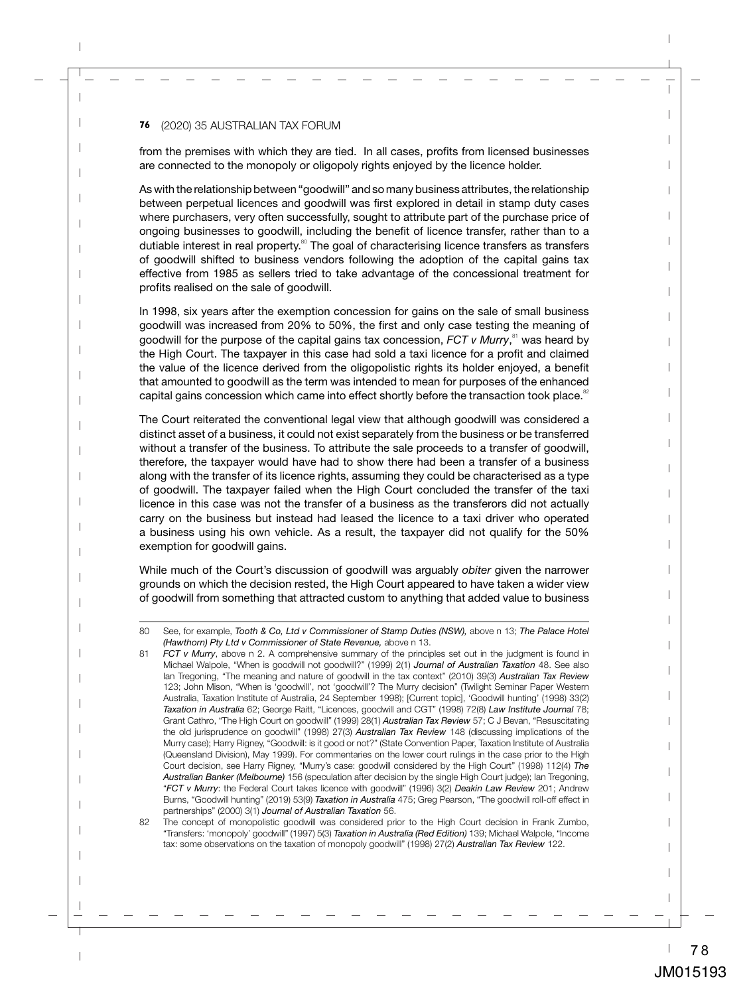from the premises with which they are tied. In all cases, profits from licensed businesses are connected to the monopoly or oligopoly rights enjoyed by the licence holder.

As with the relationship between "goodwill" and so many business attributes, the relationship between perpetual licences and goodwill was first explored in detail in stamp duty cases where purchasers, very often successfully, sought to attribute part of the purchase price of ongoing businesses to goodwill, including the benefit of licence transfer, rather than to a dutiable interest in real property. $80$  The goal of characterising licence transfers as transfers of goodwill shifted to business vendors following the adoption of the capital gains tax effective from 1985 as sellers tried to take advantage of the concessional treatment for profits realised on the sale of goodwill.

In 1998, six years after the exemption concession for gains on the sale of small business goodwill was increased from 20% to 50%, the first and only case testing the meaning of goodwill for the purpose of the capital gains tax concession, *FCT v Murry*,<sup>81</sup> was heard by the High Court. The taxpayer in this case had sold a taxi licence for a profit and claimed the value of the licence derived from the oligopolistic rights its holder enjoyed, a benefit that amounted to goodwill as the term was intended to mean for purposes of the enhanced capital gains concession which came into effect shortly before the transaction took place. $82$ 

The Court reiterated the conventional legal view that although goodwill was considered a distinct asset of a business, it could not exist separately from the business or be transferred without a transfer of the business. To attribute the sale proceeds to a transfer of goodwill, therefore, the taxpayer would have had to show there had been a transfer of a business along with the transfer of its licence rights, assuming they could be characterised as a type of goodwill. The taxpayer failed when the High Court concluded the transfer of the taxi licence in this case was not the transfer of a business as the transferors did not actually carry on the business but instead had leased the licence to a taxi driver who operated a business using his own vehicle. As a result, the taxpayer did not qualify for the 50% exemption for goodwill gains.

While much of the Court's discussion of goodwill was arguably *obiter* given the narrower grounds on which the decision rested, the High Court appeared to have taken a wider view of goodwill from something that attracted custom to anything that added value to business

<sup>80</sup> See, for example, *Tooth & Co, Ltd v Commissioner of Stamp Duties (NSW),* above n 13; *The Palace Hotel (Hawthorn) Pty Ltd v Commissioner of State Revenue,* above n 13.

<sup>81</sup> *FCT v Murry*, above n 2. A comprehensive summary of the principles set out in the judgment is found in Michael Walpole, "When is goodwill not goodwill?" (1999) 2(1) *Journal of Australian Taxation* 48. See also Ian Tregoning, "The meaning and nature of goodwill in the tax context" (2010) 39(3) *Australian Tax Review* 123; John Mison, "When is 'goodwill', not 'goodwill'? The Murry decision" (Twilight Seminar Paper Western Australia, Taxation Institute of Australia, 24 September 1998); [Current topic], 'Goodwill hunting' (1998) 33(2) *Taxation in Australia* 62; George Raitt, "Licences, goodwill and CGT" (1998) 72(8) *Law Institute Journal* 78; Grant Cathro, "The High Court on goodwill" (1999) 28(1) *Australian Tax Review* 57; C J Bevan, "Resuscitating the old jurisprudence on goodwill" (1998) 27(3) *Australian Tax Review* 148 (discussing implications of the Murry case); Harry Rigney, "Goodwill: is it good or not?" (State Convention Paper, Taxation Institute of Australia (Queensland Division), May 1999). For commentaries on the lower court rulings in the case prior to the High Court decision, see Harry Rigney, "Murry's case: goodwill considered by the High Court" (1998) 112(4) *The Australian Banker (Melbourne)* 156 (speculation after decision by the single High Court judge); Ian Tregoning, "*FCT v Murry*: the Federal Court takes licence with goodwill" (1996) 3(2) *Deakin Law Review* 201; Andrew Burns, "Goodwill hunting" (2019) 53(9) *Taxation in Australia* 475; Greg Pearson, "The goodwill roll-off effect in partnerships" (2000) 3(1) *Journal of Australian Taxation* 56.

<sup>82</sup> The concept of monopolistic goodwill was considered prior to the High Court decision in Frank Zumbo, "Transfers: 'monopoly' goodwill" (1997) 5(3) *Taxation in Australia (Red Edition)* 139; Michael Walpole, "Income tax: some observations on the taxation of monopoly goodwill" (1998) 27(2) *Australian Tax Review* 122.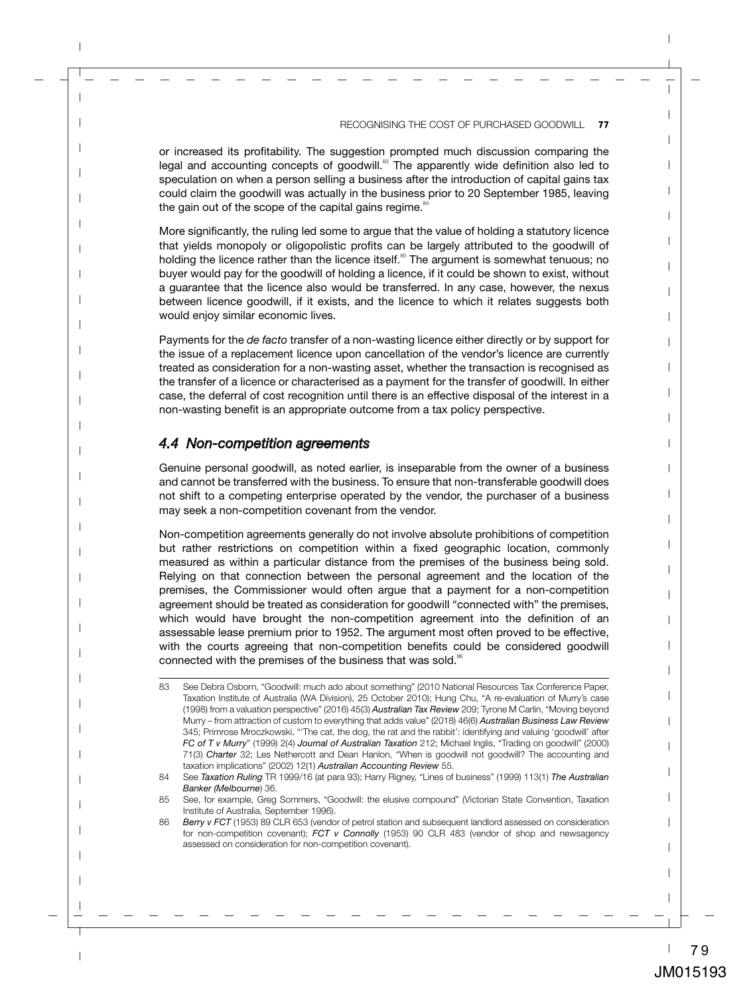or increased its profitability. The suggestion prompted much discussion comparing the legal and accounting concepts of goodwill. $83$  The apparently wide definition also led to speculation on when a person selling a business after the introduction of capital gains tax could claim the goodwill was actually in the business prior to 20 September 1985, leaving the gain out of the scope of the capital gains regime. $84$ 

More significantly, the ruling led some to argue that the value of holding a statutory licence that yields monopoly or oligopolistic profits can be largely attributed to the goodwill of holding the licence rather than the licence itself.<sup>85</sup> The argument is somewhat tenuous; no buyer would pay for the goodwill of holding a licence, if it could be shown to exist, without a guarantee that the licence also would be transferred. In any case, however, the nexus between licence goodwill, if it exists, and the licence to which it relates suggests both would enjoy similar economic lives.

Payments for the *de facto* transfer of a non-wasting licence either directly or by support for the issue of a replacement licence upon cancellation of the vendor's licence are currently treated as consideration for a non-wasting asset, whether the transaction is recognised as the transfer of a licence or characterised as a payment for the transfer of goodwill. In either case, the deferral of cost recognition until there is an effective disposal of the interest in a non-wasting benefit is an appropriate outcome from a tax policy perspective.

#### *4.4 Non-competition agreements*

Genuine personal goodwill, as noted earlier, is inseparable from the owner of a business and cannot be transferred with the business. To ensure that non-transferable goodwill does not shift to a competing enterprise operated by the vendor, the purchaser of a business may seek a non-competition covenant from the vendor.

Non-competition agreements generally do not involve absolute prohibitions of competition but rather restrictions on competition within a fixed geographic location, commonly measured as within a particular distance from the premises of the business being sold. Relying on that connection between the personal agreement and the location of the premises, the Commissioner would often argue that a payment for a non-competition agreement should be treated as consideration for goodwill "connected with" the premises, which would have brought the non-competition agreement into the definition of an assessable lease premium prior to 1952. The argument most often proved to be effective, with the courts agreeing that non-competition benefits could be considered goodwill connected with the premises of the business that was sold.<sup>86</sup>

<sup>83</sup> See Debra Osborn, "Goodwill: much ado about something" (2010 National Resources Tax Conference Paper, Taxation Institute of Australia (WA Division), 25 October 2010); Hung Chu, "A re-evaluation of Murry's case (1998) from a valuation perspective" (2016) 45(3) *Australian Tax Review* 209; Tyrone M Carlin, "Moving beyond Murry – from attraction of custom to everything that adds value" (2018) 46(6) *Australian Business Law Review* 345; Primrose Mroczkowski, "'The cat, the dog, the rat and the rabbit': identifying and valuing 'goodwill' after *FC of T v Murry*" (1999) 2(4) *Journal of Australian Taxation* 212; Michael Inglis, "Trading on goodwill" (2000) 71(3) *Charter* 32; Les Nethercott and Dean Hanlon, "When is goodwill not goodwill? The accounting and taxation implications" (2002) 12(1) *Australian Accounting Review* 55.

<sup>84</sup> See *Taxation Ruling* TR 1999/16 (at para 93); Harry Rigney, "Lines of business" (1999) 113(1) *The Australian Banker (Melbourne*) 36.

<sup>85</sup> See, for example, Greg Sommers, "Goodwill: the elusive compound" (Victorian State Convention, Taxation Institute of Australia, September 1996).

<sup>86</sup> **Berry v FCT** (1953) 89 CLR 653 (vendor of petrol station and subsequent landlord assessed on consideration for non-competition covenant); *FCT v Connolly* (1953) 90 CLR 483 (vendor of shop and newsagency assessed on consideration for non-competition covenant).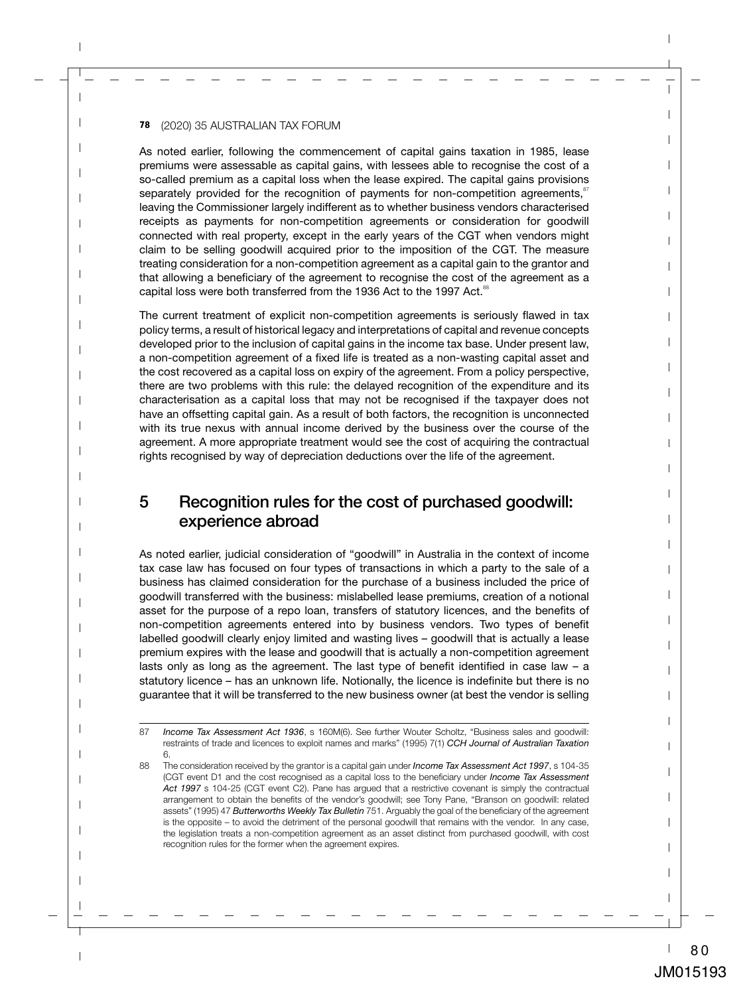As noted earlier, following the commencement of capital gains taxation in 1985, lease premiums were assessable as capital gains, with lessees able to recognise the cost of a so-called premium as a capital loss when the lease expired. The capital gains provisions separately provided for the recognition of payments for non-competition agreements, $\frac{87}{1}$ leaving the Commissioner largely indifferent as to whether business vendors characterised receipts as payments for non-competition agreements or consideration for goodwill connected with real property, except in the early years of the CGT when vendors might claim to be selling goodwill acquired prior to the imposition of the CGT. The measure treating consideration for a non-competition agreement as a capital gain to the grantor and that allowing a beneficiary of the agreement to recognise the cost of the agreement as a capital loss were both transferred from the 1936 Act to the 1997 Act.<sup>88</sup>

The current treatment of explicit non-competition agreements is seriously flawed in tax policy terms, a result of historical legacy and interpretations of capital and revenue concepts developed prior to the inclusion of capital gains in the income tax base. Under present law, a non-competition agreement of a fixed life is treated as a non-wasting capital asset and the cost recovered as a capital loss on expiry of the agreement. From a policy perspective, there are two problems with this rule: the delayed recognition of the expenditure and its characterisation as a capital loss that may not be recognised if the taxpayer does not have an offsetting capital gain. As a result of both factors, the recognition is unconnected with its true nexus with annual income derived by the business over the course of the agreement. A more appropriate treatment would see the cost of acquiring the contractual rights recognised by way of depreciation deductions over the life of the agreement.

## 5 Recognition rules for the cost of purchased goodwill: experience abroad

As noted earlier, judicial consideration of "goodwill" in Australia in the context of income tax case law has focused on four types of transactions in which a party to the sale of a business has claimed consideration for the purchase of a business included the price of goodwill transferred with the business: mislabelled lease premiums, creation of a notional asset for the purpose of a repo loan, transfers of statutory licences, and the benefits of non-competition agreements entered into by business vendors. Two types of benefit labelled goodwill clearly enjoy limited and wasting lives – goodwill that is actually a lease premium expires with the lease and goodwill that is actually a non-competition agreement lasts only as long as the agreement. The last type of benefit identified in case law – a statutory licence – has an unknown life. Notionally, the licence is indefinite but there is no guarantee that it will be transferred to the new business owner (at best the vendor is selling

<sup>87</sup> *Income Tax Assessment Act 1936*, s 160M(6). See further Wouter Scholtz, "Business sales and goodwill: restraints of trade and licences to exploit names and marks" (1995) 7(1) *CCH Journal of Australian Taxation* 6.

<sup>88</sup> The consideration received by the grantor is a capital gain under *Income Tax Assessment Act 1997*, s 104-35 (CGT event D1 and the cost recognised as a capital loss to the beneficiary under *Income Tax Assessment Act 1997* s 104-25 (CGT event C2). Pane has argued that a restrictive covenant is simply the contractual arrangement to obtain the benefits of the vendor's goodwill; see Tony Pane, "Branson on goodwill: related assets" (1995) 47 *Butterworths Weekly Tax Bulletin* 751. Arguably the goal of the beneficiary of the agreement is the opposite – to avoid the detriment of the personal goodwill that remains with the vendor. In any case, the legislation treats a non-competition agreement as an asset distinct from purchased goodwill, with cost recognition rules for the former when the agreement expires.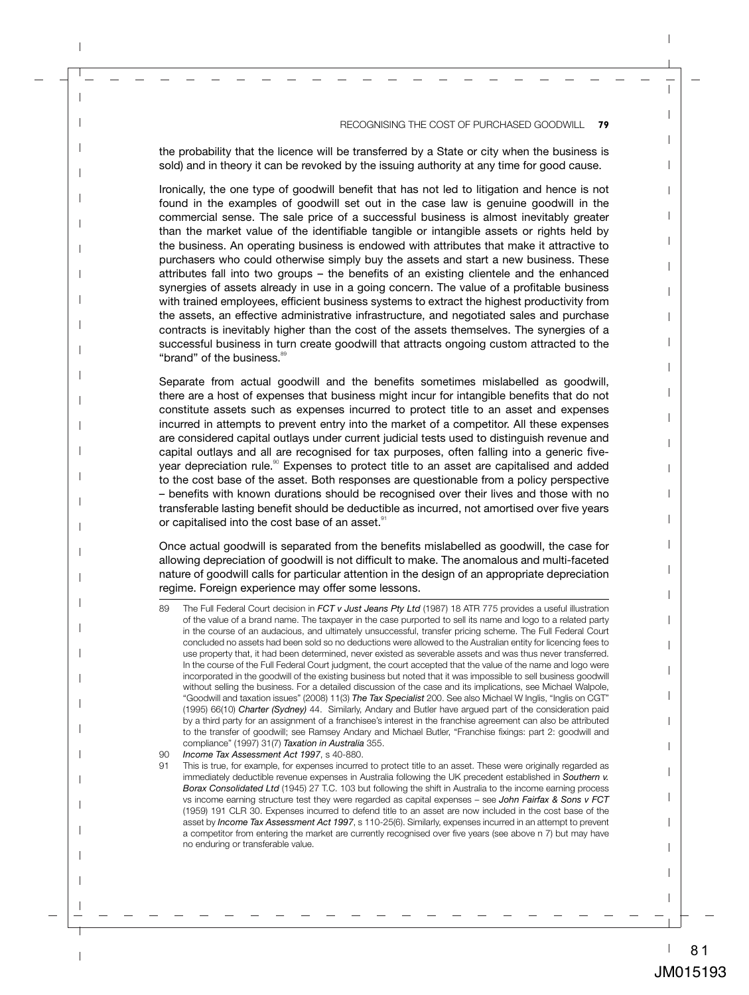the probability that the licence will be transferred by a State or city when the business is sold) and in theory it can be revoked by the issuing authority at any time for good cause.

Ironically, the one type of goodwill benefit that has not led to litigation and hence is not found in the examples of goodwill set out in the case law is genuine goodwill in the commercial sense. The sale price of a successful business is almost inevitably greater than the market value of the identifiable tangible or intangible assets or rights held by the business. An operating business is endowed with attributes that make it attractive to purchasers who could otherwise simply buy the assets and start a new business. These attributes fall into two groups – the benefits of an existing clientele and the enhanced synergies of assets already in use in a going concern. The value of a profitable business with trained employees, efficient business systems to extract the highest productivity from the assets, an effective administrative infrastructure, and negotiated sales and purchase contracts is inevitably higher than the cost of the assets themselves. The synergies of a successful business in turn create goodwill that attracts ongoing custom attracted to the "brand" of the business.<sup>89</sup>

Separate from actual goodwill and the benefits sometimes mislabelled as goodwill, there are a host of expenses that business might incur for intangible benefits that do not constitute assets such as expenses incurred to protect title to an asset and expenses incurred in attempts to prevent entry into the market of a competitor. All these expenses are considered capital outlays under current judicial tests used to distinguish revenue and capital outlays and all are recognised for tax purposes, often falling into a generic fiveyear depreciation rule.<sup>90</sup> Expenses to protect title to an asset are capitalised and added to the cost base of the asset. Both responses are questionable from a policy perspective – benefits with known durations should be recognised over their lives and those with no transferable lasting benefit should be deductible as incurred, not amortised over five years or capitalised into the cost base of an asset.<sup>91</sup>

Once actual goodwill is separated from the benefits mislabelled as goodwill, the case for allowing depreciation of goodwill is not difficult to make. The anomalous and multi-faceted nature of goodwill calls for particular attention in the design of an appropriate depreciation regime. Foreign experience may offer some lessons.

90 *Income Tax Assessment Act 1997*, s 40-880.

<sup>89</sup> The Full Federal Court decision in *FCT v Just Jeans Pty Ltd* (1987) 18 ATR 775 provides a useful illustration of the value of a brand name. The taxpayer in the case purported to sell its name and logo to a related party in the course of an audacious, and ultimately unsuccessful, transfer pricing scheme. The Full Federal Court concluded no assets had been sold so no deductions were allowed to the Australian entity for licencing fees to use property that, it had been determined, never existed as severable assets and was thus never transferred. In the course of the Full Federal Court judgment, the court accepted that the value of the name and logo were incorporated in the goodwill of the existing business but noted that it was impossible to sell business goodwill without selling the business. For a detailed discussion of the case and its implications, see Michael Walpole, "Goodwill and taxation issues" (2008) 11(3) *The Tax Specialist* 200. See also Michael W Inglis, "Inglis on CGT" (1995) 66(10) *Charter (Sydney)* 44. Similarly, Andary and Butler have argued part of the consideration paid by a third party for an assignment of a franchisee's interest in the franchise agreement can also be attributed to the transfer of goodwill; see Ramsey Andary and Michael Butler, "Franchise fixings: part 2: goodwill and compliance" (1997) 31(7) *Taxation in Australia* 355.

This is true, for example, for expenses incurred to protect title to an asset. These were originally regarded as immediately deductible revenue expenses in Australia following the UK precedent established in *Southern v. Borax Consolidated Ltd* (1945) 27 T.C. 103 but following the shift in Australia to the income earning process vs income earning structure test they were regarded as capital expenses – see *John Fairfax & Sons v FCT* (1959) 191 CLR 30. Expenses incurred to defend title to an asset are now included in the cost base of the asset by *Income Tax Assessment Act 1997*, s 110-25(6). Similarly, expenses incurred in an attempt to prevent a competitor from entering the market are currently recognised over five years (see above n 7) but may have no enduring or transferable value.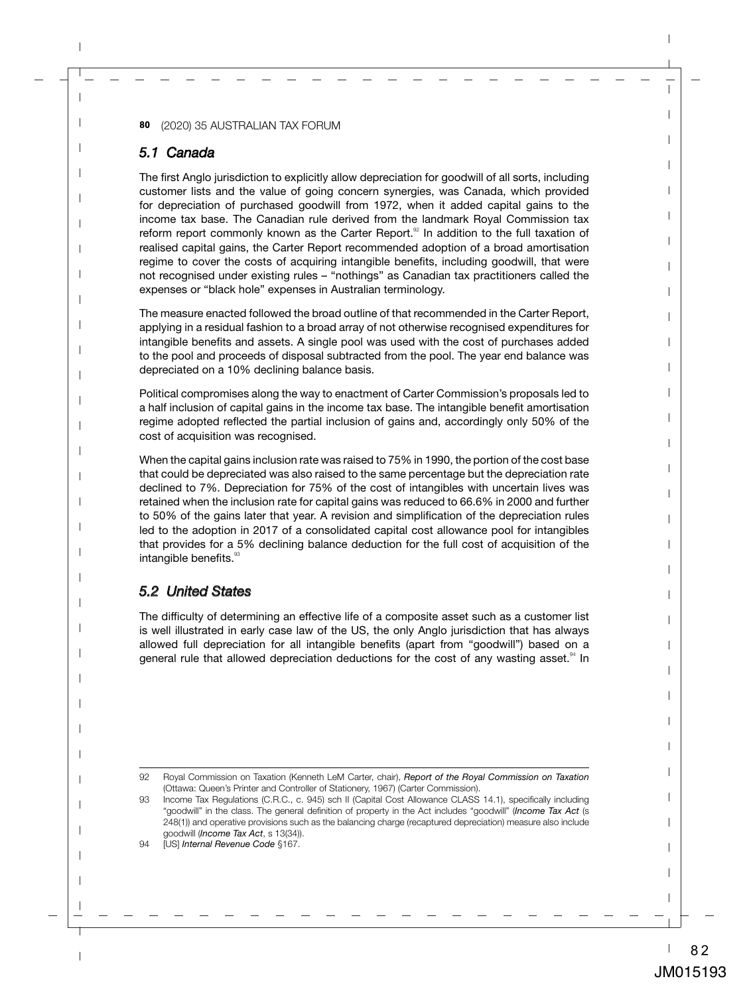#### *5.1 Canada*

The first Anglo jurisdiction to explicitly allow depreciation for goodwill of all sorts, including customer lists and the value of going concern synergies, was Canada, which provided for depreciation of purchased goodwill from 1972, when it added capital gains to the income tax base. The Canadian rule derived from the landmark Royal Commission tax reform report commonly known as the Carter Report. $\frac{32}{2}$  In addition to the full taxation of realised capital gains, the Carter Report recommended adoption of a broad amortisation regime to cover the costs of acquiring intangible benefits, including goodwill, that were not recognised under existing rules – "nothings" as Canadian tax practitioners called the expenses or "black hole" expenses in Australian terminology.

The measure enacted followed the broad outline of that recommended in the Carter Report, applying in a residual fashion to a broad array of not otherwise recognised expenditures for intangible benefits and assets. A single pool was used with the cost of purchases added to the pool and proceeds of disposal subtracted from the pool. The year end balance was depreciated on a 10% declining balance basis.

Political compromises along the way to enactment of Carter Commission's proposals led to a half inclusion of capital gains in the income tax base. The intangible benefit amortisation regime adopted reflected the partial inclusion of gains and, accordingly only 50% of the cost of acquisition was recognised.

When the capital gains inclusion rate was raised to 75% in 1990, the portion of the cost base that could be depreciated was also raised to the same percentage but the depreciation rate declined to 7%. Depreciation for 75% of the cost of intangibles with uncertain lives was retained when the inclusion rate for capital gains was reduced to 66.6% in 2000 and further to 50% of the gains later that year. A revision and simplification of the depreciation rules led to the adoption in 2017 of a consolidated capital cost allowance pool for intangibles that provides for a 5% declining balance deduction for the full cost of acquisition of the intangible benefits.<sup>93</sup>

#### *5.2 United States*

The difficulty of determining an effective life of a composite asset such as a customer list is well illustrated in early case law of the US, the only Anglo jurisdiction that has always allowed full depreciation for all intangible benefits (apart from "goodwill") based on a general rule that allowed depreciation deductions for the cost of any wasting asset.<sup>94</sup> In

94 [US] *Internal Revenue Code* §167.

<sup>92</sup> Royal Commission on Taxation (Kenneth LeM Carter, chair), *Report of the Royal Commission on Taxation* (Ottawa: Queen's Printer and Controller of Stationery, 1967) (Carter Commission).

<sup>93</sup> Income Tax Regulations (C.R.C., c. 945) sch II (Capital Cost Allowance CLASS 14.1), specifically including "goodwill" in the class. The general definition of property in the Act includes "goodwill" (*Income Tax Act* (s 248(1)) and operative provisions such as the balancing charge (recaptured depreciation) measure also include goodwill (*Income Tax Act*, s 13(34)).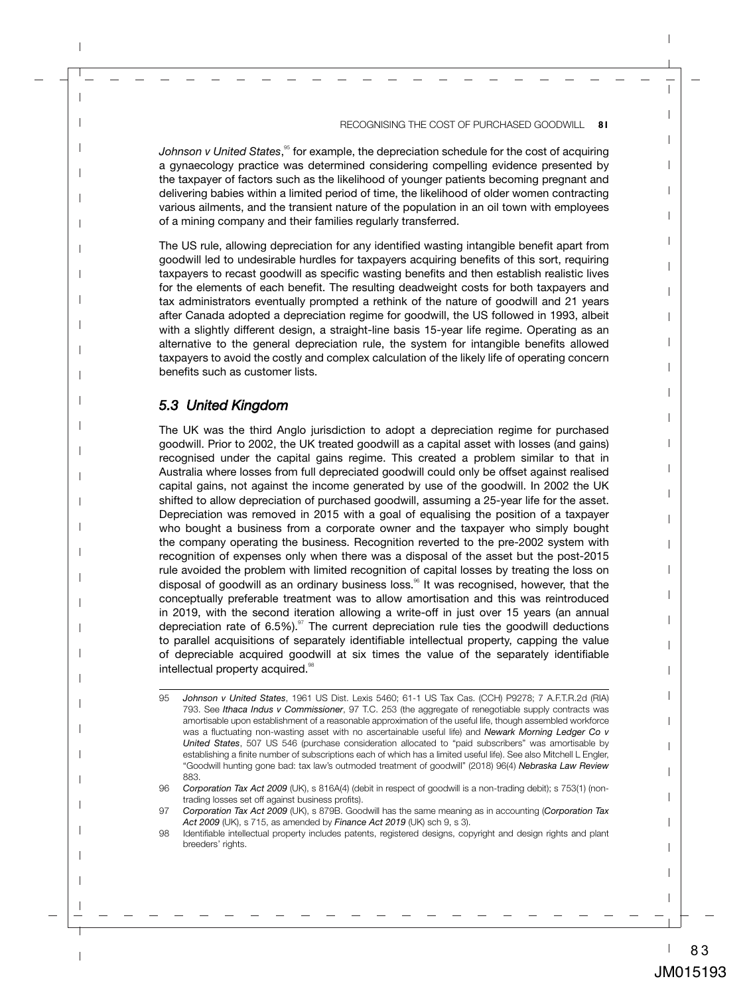*Johnson v United States*, <sup>95</sup> for example, the depreciation schedule for the cost of acquiring a gynaecology practice was determined considering compelling evidence presented by the taxpayer of factors such as the likelihood of younger patients becoming pregnant and delivering babies within a limited period of time, the likelihood of older women contracting various ailments, and the transient nature of the population in an oil town with employees of a mining company and their families regularly transferred.

The US rule, allowing depreciation for any identified wasting intangible benefit apart from goodwill led to undesirable hurdles for taxpayers acquiring benefits of this sort, requiring taxpayers to recast goodwill as specific wasting benefits and then establish realistic lives for the elements of each benefit. The resulting deadweight costs for both taxpayers and tax administrators eventually prompted a rethink of the nature of goodwill and 21 years after Canada adopted a depreciation regime for goodwill, the US followed in 1993, albeit with a slightly different design, a straight-line basis 15-year life regime. Operating as an alternative to the general depreciation rule, the system for intangible benefits allowed taxpayers to avoid the costly and complex calculation of the likely life of operating concern benefits such as customer lists.

#### *5.3 United Kingdom*

The UK was the third Anglo jurisdiction to adopt a depreciation regime for purchased goodwill. Prior to 2002, the UK treated goodwill as a capital asset with losses (and gains) recognised under the capital gains regime. This created a problem similar to that in Australia where losses from full depreciated goodwill could only be offset against realised capital gains, not against the income generated by use of the goodwill. In 2002 the UK shifted to allow depreciation of purchased goodwill, assuming a 25-year life for the asset. Depreciation was removed in 2015 with a goal of equalising the position of a taxpayer who bought a business from a corporate owner and the taxpayer who simply bought the company operating the business. Recognition reverted to the pre-2002 system with recognition of expenses only when there was a disposal of the asset but the post-2015 rule avoided the problem with limited recognition of capital losses by treating the loss on disposal of goodwill as an ordinary business loss.<sup>96</sup> It was recognised, however, that the conceptually preferable treatment was to allow amortisation and this was reintroduced in 2019, with the second iteration allowing a write-off in just over 15 years (an annual depreciation rate of  $6.5\%$ ).<sup>97</sup> The current depreciation rule ties the goodwill deductions to parallel acquisitions of separately identifiable intellectual property, capping the value of depreciable acquired goodwill at six times the value of the separately identifiable intellectual property acquired.<sup>38</sup>

<sup>95</sup> *Johnson v United States*, 1961 US Dist. Lexis 5460; 61-1 US Tax Cas. (CCH) P9278; 7 A.F.T.R.2d (RIA) 793. See *Ithaca Indus v Commissioner*, 97 T.C. 253 (the aggregate of renegotiable supply contracts was amortisable upon establishment of a reasonable approximation of the useful life, though assembled workforce was a fluctuating non-wasting asset with no ascertainable useful life) and *Newark Morning Ledger Co v United States*, 507 US 546 (purchase consideration allocated to "paid subscribers" was amortisable by establishing a finite number of subscriptions each of which has a limited useful life). See also Mitchell L Engler, "Goodwill hunting gone bad: tax law's outmoded treatment of goodwill" (2018) 96(4) *Nebraska Law Review* 883.

<sup>96</sup> *Corporation Tax Act 2009* (UK), s 816A(4) (debit in respect of goodwill is a non-trading debit); s 753(1) (nontrading losses set off against business profits).

<sup>97</sup> *Corporation Tax Act 2009* (UK), s 879B. Goodwill has the same meaning as in accounting (*Corporation Tax Act 2009* (UK), s 715, as amended by *Finance Act 2019* (UK) sch 9, s 3).

<sup>98</sup> Identifiable intellectual property includes patents, registered designs, copyright and design rights and plant breeders' rights.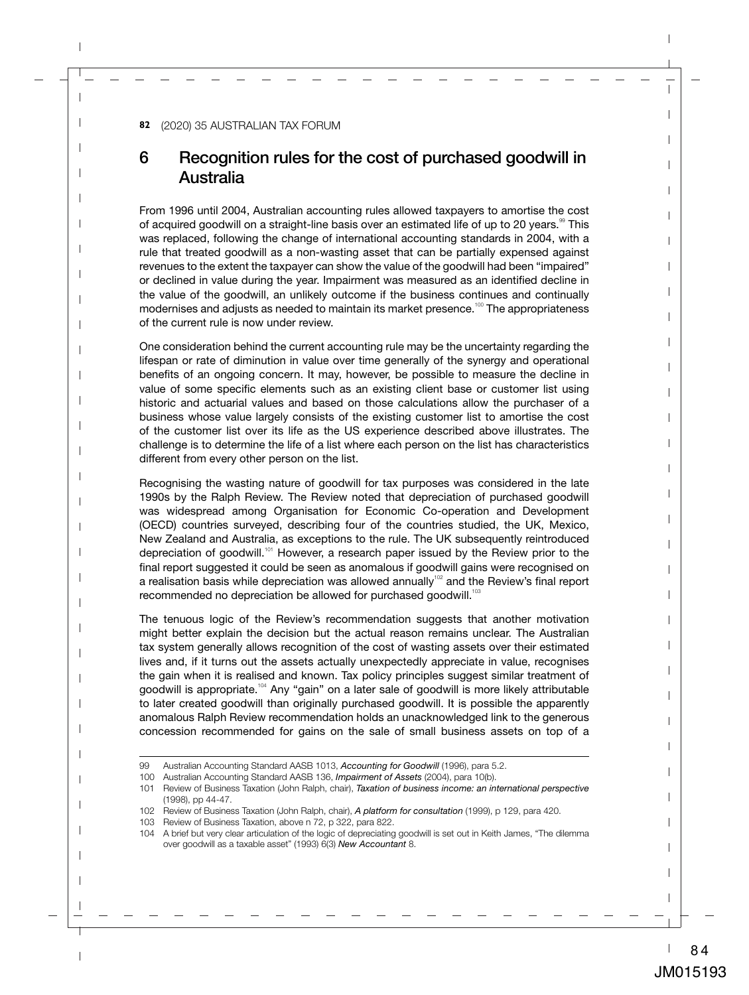# 6 Recognition rules for the cost of purchased goodwill in Australia

From 1996 until 2004, Australian accounting rules allowed taxpayers to amortise the cost of acquired goodwill on a straight-line basis over an estimated life of up to 20 years.<sup>99</sup> This was replaced, following the change of international accounting standards in 2004, with a rule that treated goodwill as a non-wasting asset that can be partially expensed against revenues to the extent the taxpayer can show the value of the goodwill had been "impaired" or declined in value during the year. Impairment was measured as an identified decline in the value of the goodwill, an unlikely outcome if the business continues and continually modernises and adjusts as needed to maintain its market presence.<sup>100</sup> The appropriateness of the current rule is now under review.

One consideration behind the current accounting rule may be the uncertainty regarding the lifespan or rate of diminution in value over time generally of the synergy and operational benefits of an ongoing concern. It may, however, be possible to measure the decline in value of some specific elements such as an existing client base or customer list using historic and actuarial values and based on those calculations allow the purchaser of a business whose value largely consists of the existing customer list to amortise the cost of the customer list over its life as the US experience described above illustrates. The challenge is to determine the life of a list where each person on the list has characteristics different from every other person on the list.

Recognising the wasting nature of goodwill for tax purposes was considered in the late 1990s by the Ralph Review. The Review noted that depreciation of purchased goodwill was widespread among Organisation for Economic Co-operation and Development (OECD) countries surveyed, describing four of the countries studied, the UK, Mexico, New Zealand and Australia, as exceptions to the rule. The UK subsequently reintroduced depreciation of goodwill.<sup>101</sup> However, a research paper issued by the Review prior to the final report suggested it could be seen as anomalous if goodwill gains were recognised on a realisation basis while depreciation was allowed annually<sup>102</sup> and the Review's final report recommended no depreciation be allowed for purchased goodwill.<sup>103</sup>

The tenuous logic of the Review's recommendation suggests that another motivation might better explain the decision but the actual reason remains unclear. The Australian tax system generally allows recognition of the cost of wasting assets over their estimated lives and, if it turns out the assets actually unexpectedly appreciate in value, recognises the gain when it is realised and known. Tax policy principles suggest similar treatment of goodwill is appropriate.<sup>104</sup> Any "gain" on a later sale of goodwill is more likely attributable to later created goodwill than originally purchased goodwill. It is possible the apparently anomalous Ralph Review recommendation holds an unacknowledged link to the generous concession recommended for gains on the sale of small business assets on top of a

<sup>99</sup> Australian Accounting Standard AASB 1013, *Accounting for Goodwill* (1996), para 5.2.

<sup>100</sup> Australian Accounting Standard AASB 136, *Impairment of Assets* (2004), para 10(b).

<sup>101</sup> Review of Business Taxation (John Ralph, chair), *Taxation of business income: an international perspective*  (1998), pp 44-47.

<sup>102</sup> Review of Business Taxation (John Ralph, chair), *A platform for consultation* (1999), p 129, para 420.

<sup>103</sup> Review of Business Taxation, above n 72, p 322, para 822.

<sup>104</sup> A brief but very clear articulation of the logic of depreciating goodwill is set out in Keith James, "The dilemma over goodwill as a taxable asset" (1993) 6(3) *New Accountant* 8.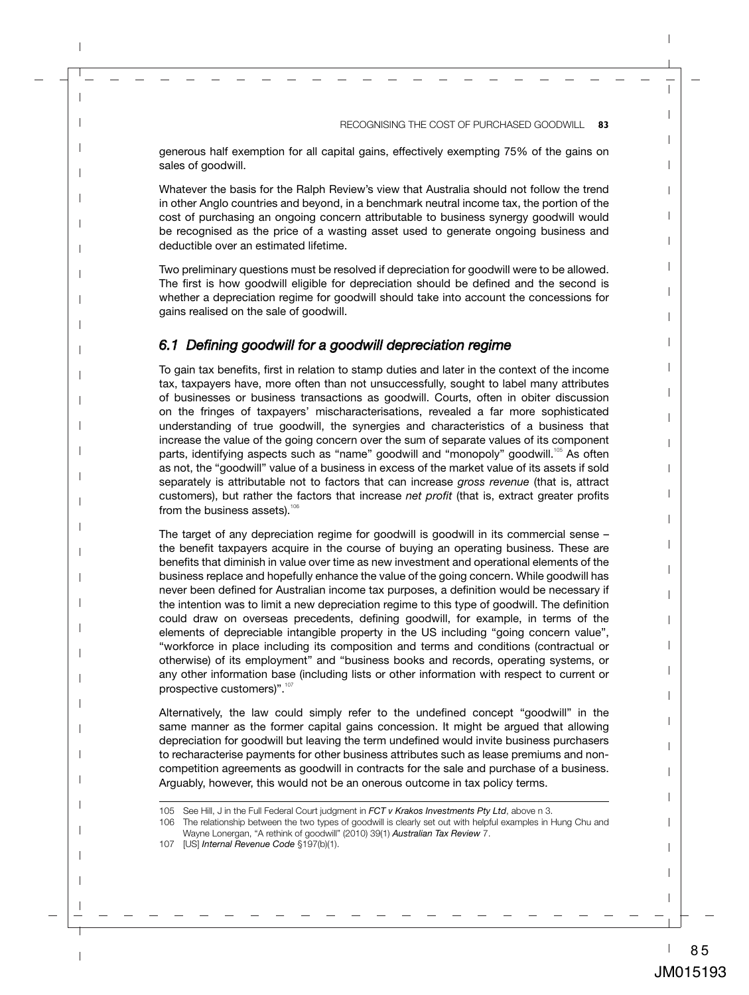generous half exemption for all capital gains, effectively exempting 75% of the gains on sales of goodwill.

Whatever the basis for the Ralph Review's view that Australia should not follow the trend in other Anglo countries and beyond, in a benchmark neutral income tax, the portion of the cost of purchasing an ongoing concern attributable to business synergy goodwill would be recognised as the price of a wasting asset used to generate ongoing business and deductible over an estimated lifetime.

Two preliminary questions must be resolved if depreciation for goodwill were to be allowed. The first is how goodwill eligible for depreciation should be defined and the second is whether a depreciation regime for goodwill should take into account the concessions for gains realised on the sale of goodwill.

#### *6.1 Defining goodwill for a goodwill depreciation regime*

To gain tax benefits, first in relation to stamp duties and later in the context of the income tax, taxpayers have, more often than not unsuccessfully, sought to label many attributes of businesses or business transactions as goodwill. Courts, often in obiter discussion on the fringes of taxpayers' mischaracterisations, revealed a far more sophisticated understanding of true goodwill, the synergies and characteristics of a business that increase the value of the going concern over the sum of separate values of its component parts, identifying aspects such as "name" goodwill and "monopoly" goodwill.<sup>105</sup> As often as not, the "goodwill" value of a business in excess of the market value of its assets if sold separately is attributable not to factors that can increase *gross revenue* (that is, attract customers), but rather the factors that increase *net profit* (that is, extract greater profits from the business assets). $106$ 

The target of any depreciation regime for goodwill is goodwill in its commercial sense – the benefit taxpayers acquire in the course of buying an operating business. These are benefits that diminish in value over time as new investment and operational elements of the business replace and hopefully enhance the value of the going concern. While goodwill has never been defined for Australian income tax purposes, a definition would be necessary if the intention was to limit a new depreciation regime to this type of goodwill. The definition could draw on overseas precedents, defining goodwill, for example, in terms of the elements of depreciable intangible property in the US including "going concern value", "workforce in place including its composition and terms and conditions (contractual or otherwise) of its employment" and "business books and records, operating systems, or any other information base (including lists or other information with respect to current or prospective customers)".<sup>107</sup>

Alternatively, the law could simply refer to the undefined concept "goodwill" in the same manner as the former capital gains concession. It might be argued that allowing depreciation for goodwill but leaving the term undefined would invite business purchasers to recharacterise payments for other business attributes such as lease premiums and noncompetition agreements as goodwill in contracts for the sale and purchase of a business. Arguably, however, this would not be an onerous outcome in tax policy terms.

<sup>105</sup> See Hill, J in the Full Federal Court judgment in *FCT v Krakos Investments Pty Ltd*, above n 3.

<sup>106</sup> The relationship between the two types of goodwill is clearly set out with helpful examples in Hung Chu and Wayne Lonergan, "A rethink of goodwill" (2010) 39(1) *Australian Tax Review* 7.

<sup>107</sup> [US] *Internal Revenue Code* §197(b)(1).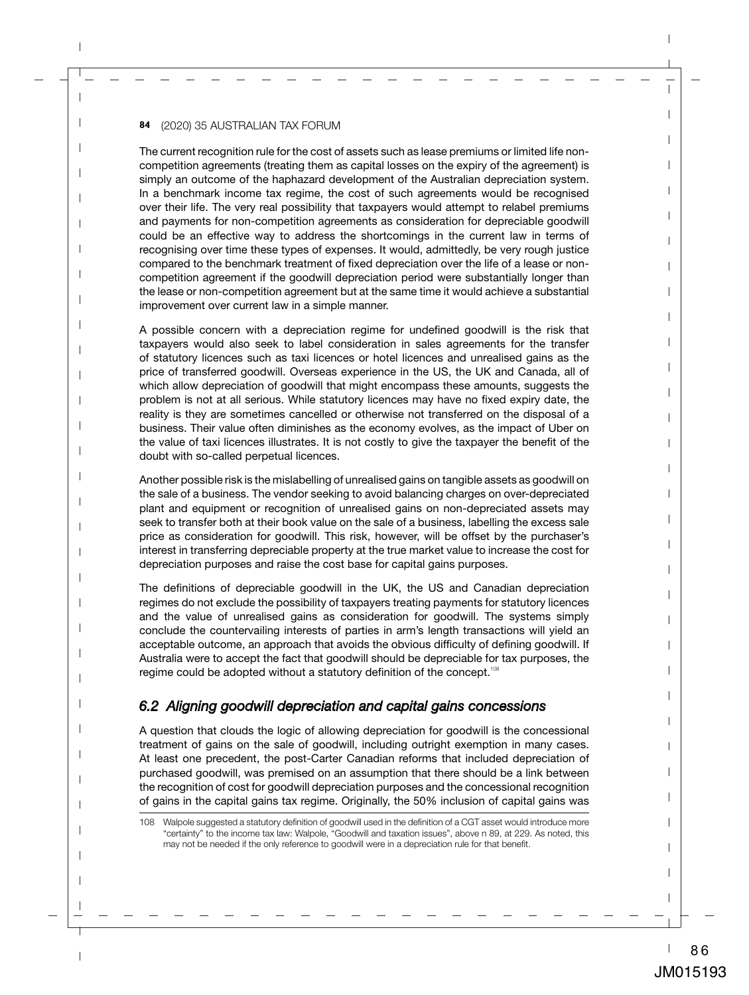The current recognition rule for the cost of assets such as lease premiums or limited life noncompetition agreements (treating them as capital losses on the expiry of the agreement) is simply an outcome of the haphazard development of the Australian depreciation system. In a benchmark income tax regime, the cost of such agreements would be recognised over their life. The very real possibility that taxpayers would attempt to relabel premiums and payments for non-competition agreements as consideration for depreciable goodwill could be an effective way to address the shortcomings in the current law in terms of recognising over time these types of expenses. It would, admittedly, be very rough justice compared to the benchmark treatment of fixed depreciation over the life of a lease or noncompetition agreement if the goodwill depreciation period were substantially longer than the lease or non-competition agreement but at the same time it would achieve a substantial improvement over current law in a simple manner.

A possible concern with a depreciation regime for undefined goodwill is the risk that taxpayers would also seek to label consideration in sales agreements for the transfer of statutory licences such as taxi licences or hotel licences and unrealised gains as the price of transferred goodwill. Overseas experience in the US, the UK and Canada, all of which allow depreciation of goodwill that might encompass these amounts, suggests the problem is not at all serious. While statutory licences may have no fixed expiry date, the reality is they are sometimes cancelled or otherwise not transferred on the disposal of a business. Their value often diminishes as the economy evolves, as the impact of Uber on the value of taxi licences illustrates. It is not costly to give the taxpayer the benefit of the doubt with so-called perpetual licences.

Another possible risk is the mislabelling of unrealised gains on tangible assets as goodwill on the sale of a business. The vendor seeking to avoid balancing charges on over-depreciated plant and equipment or recognition of unrealised gains on non-depreciated assets may seek to transfer both at their book value on the sale of a business, labelling the excess sale price as consideration for goodwill. This risk, however, will be offset by the purchaser's interest in transferring depreciable property at the true market value to increase the cost for depreciation purposes and raise the cost base for capital gains purposes.

The definitions of depreciable goodwill in the UK, the US and Canadian depreciation regimes do not exclude the possibility of taxpayers treating payments for statutory licences and the value of unrealised gains as consideration for goodwill. The systems simply conclude the countervailing interests of parties in arm's length transactions will yield an acceptable outcome, an approach that avoids the obvious difficulty of defining goodwill. If Australia were to accept the fact that goodwill should be depreciable for tax purposes, the regime could be adopted without a statutory definition of the concept.<sup>108</sup>

## *6.2 Aligning goodwill depreciation and capital gains concessions*

A question that clouds the logic of allowing depreciation for goodwill is the concessional treatment of gains on the sale of goodwill, including outright exemption in many cases. At least one precedent, the post-Carter Canadian reforms that included depreciation of purchased goodwill, was premised on an assumption that there should be a link between the recognition of cost for goodwill depreciation purposes and the concessional recognition of gains in the capital gains tax regime. Originally, the 50% inclusion of capital gains was

<sup>108</sup> Walpole suggested a statutory definition of goodwill used in the definition of a CGT asset would introduce more "certainty" to the income tax law: Walpole, "Goodwill and taxation issues", above n 89, at 229. As noted, this may not be needed if the only reference to goodwill were in a depreciation rule for that benefit.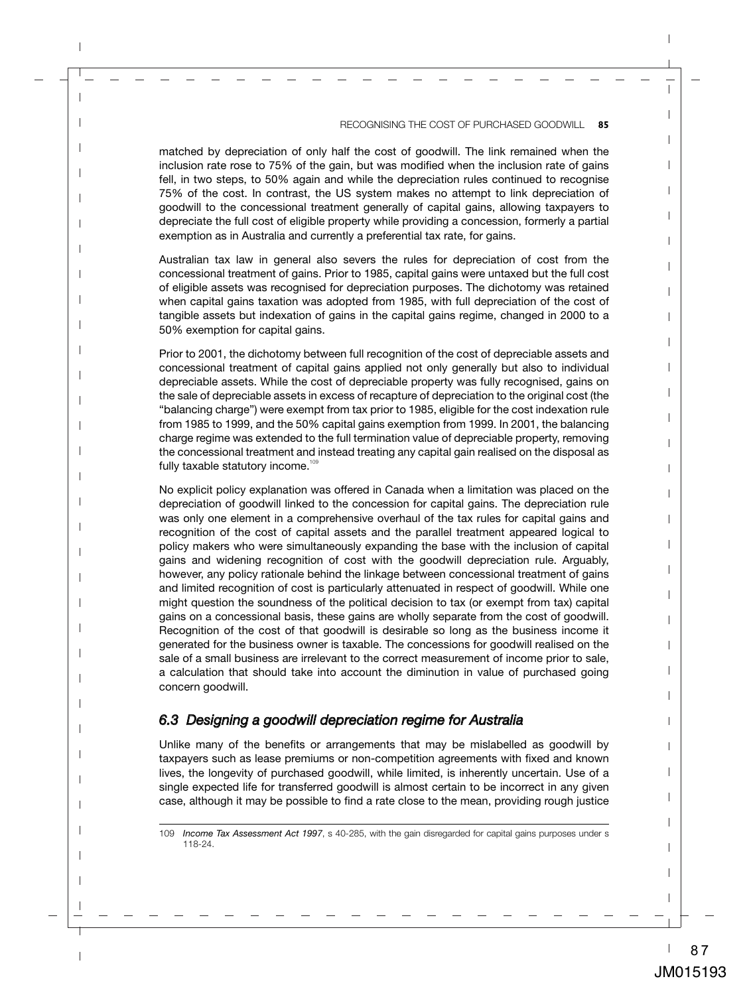matched by depreciation of only half the cost of goodwill. The link remained when the inclusion rate rose to 75% of the gain, but was modified when the inclusion rate of gains fell, in two steps, to 50% again and while the depreciation rules continued to recognise 75% of the cost. In contrast, the US system makes no attempt to link depreciation of goodwill to the concessional treatment generally of capital gains, allowing taxpayers to depreciate the full cost of eligible property while providing a concession, formerly a partial exemption as in Australia and currently a preferential tax rate, for gains.

Australian tax law in general also severs the rules for depreciation of cost from the concessional treatment of gains. Prior to 1985, capital gains were untaxed but the full cost of eligible assets was recognised for depreciation purposes. The dichotomy was retained when capital gains taxation was adopted from 1985, with full depreciation of the cost of tangible assets but indexation of gains in the capital gains regime, changed in 2000 to a 50% exemption for capital gains.

Prior to 2001, the dichotomy between full recognition of the cost of depreciable assets and concessional treatment of capital gains applied not only generally but also to individual depreciable assets. While the cost of depreciable property was fully recognised, gains on the sale of depreciable assets in excess of recapture of depreciation to the original cost (the "balancing charge") were exempt from tax prior to 1985, eligible for the cost indexation rule from 1985 to 1999, and the 50% capital gains exemption from 1999. In 2001, the balancing charge regime was extended to the full termination value of depreciable property, removing the concessional treatment and instead treating any capital gain realised on the disposal as fully taxable statutory income.<sup>109</sup>

No explicit policy explanation was offered in Canada when a limitation was placed on the depreciation of goodwill linked to the concession for capital gains. The depreciation rule was only one element in a comprehensive overhaul of the tax rules for capital gains and recognition of the cost of capital assets and the parallel treatment appeared logical to policy makers who were simultaneously expanding the base with the inclusion of capital gains and widening recognition of cost with the goodwill depreciation rule. Arguably, however, any policy rationale behind the linkage between concessional treatment of gains and limited recognition of cost is particularly attenuated in respect of goodwill. While one might question the soundness of the political decision to tax (or exempt from tax) capital gains on a concessional basis, these gains are wholly separate from the cost of goodwill. Recognition of the cost of that goodwill is desirable so long as the business income it generated for the business owner is taxable. The concessions for goodwill realised on the sale of a small business are irrelevant to the correct measurement of income prior to sale, a calculation that should take into account the diminution in value of purchased going concern goodwill.

#### *6.3 Designing a goodwill depreciation regime for Australia*

Unlike many of the benefits or arrangements that may be mislabelled as goodwill by taxpayers such as lease premiums or non-competition agreements with fixed and known lives, the longevity of purchased goodwill, while limited, is inherently uncertain. Use of a single expected life for transferred goodwill is almost certain to be incorrect in any given case, although it may be possible to find a rate close to the mean, providing rough justice

<sup>109</sup> *Income Tax Assessment Act 1997*, s 40-285, with the gain disregarded for capital gains purposes under s 118-24.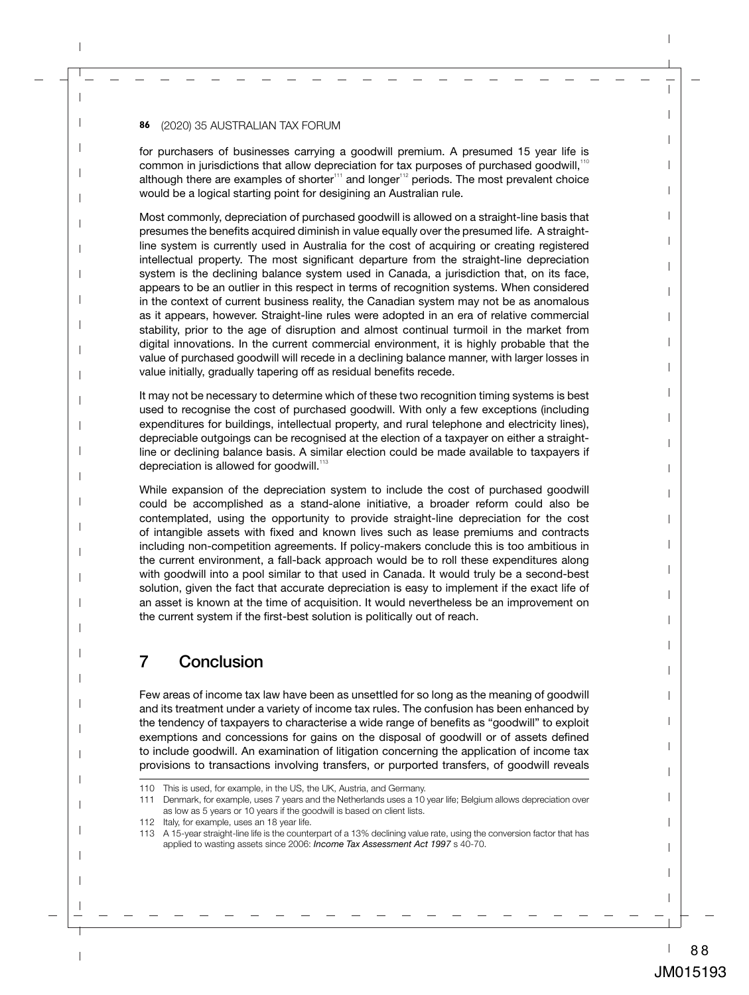for purchasers of businesses carrying a goodwill premium. A presumed 15 year life is common in jurisdictions that allow depreciation for tax purposes of purchased goodwill,<sup>110</sup> although there are examples of shorter $111}$  and longer $112$  periods. The most prevalent choice would be a logical starting point for desigining an Australian rule.

Most commonly, depreciation of purchased goodwill is allowed on a straight-line basis that presumes the benefits acquired diminish in value equally over the presumed life. A straightline system is currently used in Australia for the cost of acquiring or creating registered intellectual property. The most significant departure from the straight-line depreciation system is the declining balance system used in Canada, a jurisdiction that, on its face, appears to be an outlier in this respect in terms of recognition systems. When considered in the context of current business reality, the Canadian system may not be as anomalous as it appears, however. Straight-line rules were adopted in an era of relative commercial stability, prior to the age of disruption and almost continual turmoil in the market from digital innovations. In the current commercial environment, it is highly probable that the value of purchased goodwill will recede in a declining balance manner, with larger losses in value initially, gradually tapering off as residual benefits recede.

It may not be necessary to determine which of these two recognition timing systems is best used to recognise the cost of purchased goodwill. With only a few exceptions (including expenditures for buildings, intellectual property, and rural telephone and electricity lines), depreciable outgoings can be recognised at the election of a taxpayer on either a straightline or declining balance basis. A similar election could be made available to taxpayers if depreciation is allowed for goodwill.<sup>113</sup>

While expansion of the depreciation system to include the cost of purchased goodwill could be accomplished as a stand-alone initiative, a broader reform could also be contemplated, using the opportunity to provide straight-line depreciation for the cost of intangible assets with fixed and known lives such as lease premiums and contracts including non-competition agreements. If policy-makers conclude this is too ambitious in the current environment, a fall-back approach would be to roll these expenditures along with goodwill into a pool similar to that used in Canada. It would truly be a second-best solution, given the fact that accurate depreciation is easy to implement if the exact life of an asset is known at the time of acquisition. It would nevertheless be an improvement on the current system if the first-best solution is politically out of reach.

# 7 Conclusion

Few areas of income tax law have been as unsettled for so long as the meaning of goodwill and its treatment under a variety of income tax rules. The confusion has been enhanced by the tendency of taxpayers to characterise a wide range of benefits as "goodwill" to exploit exemptions and concessions for gains on the disposal of goodwill or of assets defined to include goodwill. An examination of litigation concerning the application of income tax provisions to transactions involving transfers, or purported transfers, of goodwill reveals

<sup>110</sup> This is used, for example, in the US, the UK, Austria, and Germany.

<sup>111</sup> Denmark, for example, uses 7 years and the Netherlands uses a 10 year life; Belgium allows depreciation over as low as 5 years or 10 years if the goodwill is based on client lists.

<sup>112</sup> Italy, for example, uses an 18 year life.

<sup>113</sup> A 15-year straight-line life is the counterpart of a 13% declining value rate, using the conversion factor that has applied to wasting assets since 2006: *Income Tax Assessment Act 1997* s 40-70.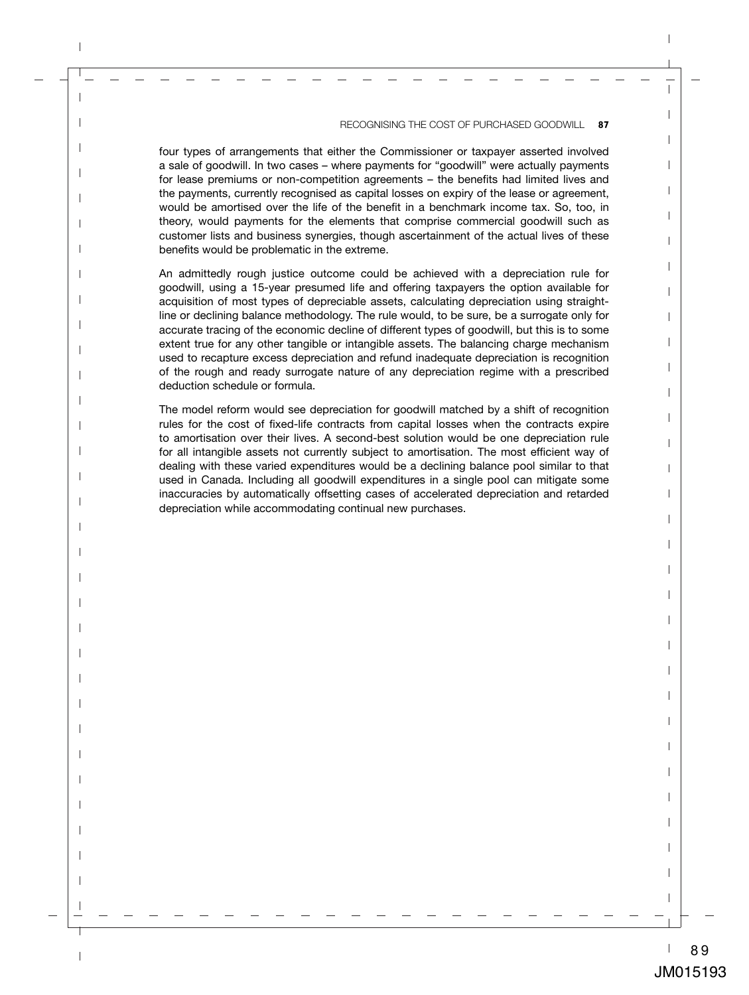four types of arrangements that either the Commissioner or taxpayer asserted involved a sale of goodwill. In two cases – where payments for "goodwill" were actually payments for lease premiums or non-competition agreements – the benefits had limited lives and the payments, currently recognised as capital losses on expiry of the lease or agreement, would be amortised over the life of the benefit in a benchmark income tax. So, too, in theory, would payments for the elements that comprise commercial goodwill such as customer lists and business synergies, though ascertainment of the actual lives of these benefits would be problematic in the extreme.

An admittedly rough justice outcome could be achieved with a depreciation rule for goodwill, using a 15-year presumed life and offering taxpayers the option available for acquisition of most types of depreciable assets, calculating depreciation using straightline or declining balance methodology. The rule would, to be sure, be a surrogate only for accurate tracing of the economic decline of different types of goodwill, but this is to some extent true for any other tangible or intangible assets. The balancing charge mechanism used to recapture excess depreciation and refund inadequate depreciation is recognition of the rough and ready surrogate nature of any depreciation regime with a prescribed deduction schedule or formula.

The model reform would see depreciation for goodwill matched by a shift of recognition rules for the cost of fixed-life contracts from capital losses when the contracts expire to amortisation over their lives. A second-best solution would be one depreciation rule for all intangible assets not currently subject to amortisation. The most efficient way of dealing with these varied expenditures would be a declining balance pool similar to that used in Canada. Including all goodwill expenditures in a single pool can mitigate some inaccuracies by automatically offsetting cases of accelerated depreciation and retarded depreciation while accommodating continual new purchases.